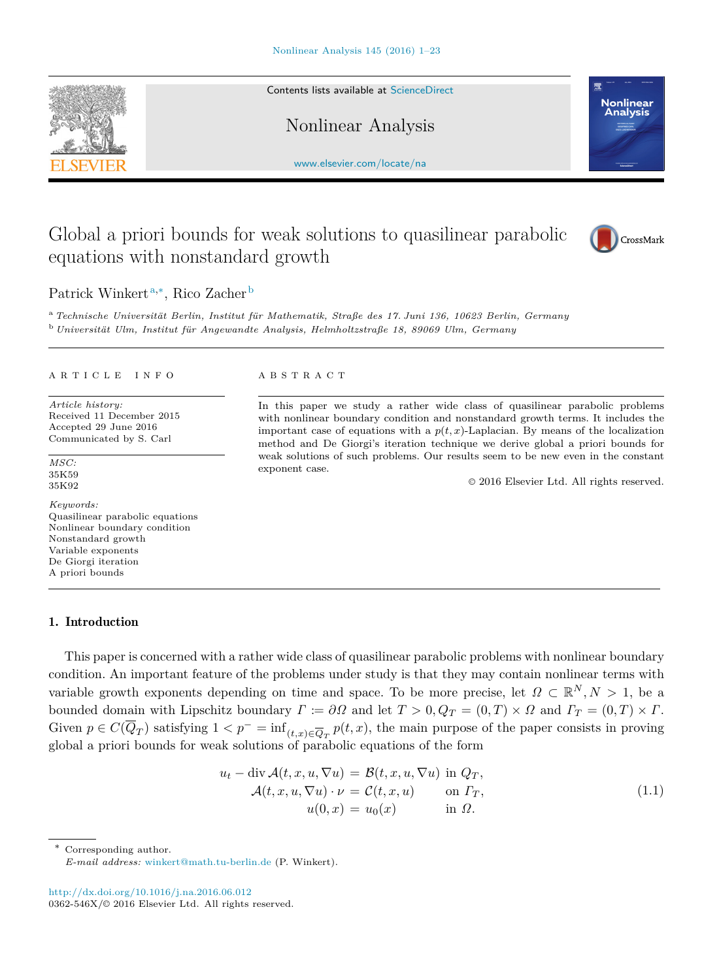Contents lists available at [ScienceDirect](http://www.sciencedirect.com)

Nonlinear Analysis

[www.elsevier.com/locate/na](http://www.elsevier.com/locate/na)

# Global a priori bounds for weak solutions to quasilinear parabolic equations with nonstandard growth

Patrick Winkert<sup>[a,](#page-0-0)[∗](#page-0-1)</sup>, Rico Zacher<sup>[b](#page-0-2)</sup>

<span id="page-0-2"></span><span id="page-0-0"></span><sup>a</sup> Technische Universität Berlin, Institut für Mathematik, Straße des 17. Juni 136, 10623 Berlin, Germany <sup>b</sup> Universität Ulm, Institut für Angewandte Analysis, Helmholtzstraße 18, 89069 Ulm, Germany

#### a r t i c l e i n f o

*Article history:* Received 11 December 2015 Accepted 29 June 2016 Communicated by S. Carl

*MSC:* 35K59 35K92

#### *Keywords:* Quasilinear parabolic equations Nonlinear boundary condition Nonstandard growth Variable exponents De Giorgi iteration

A priori bounds

### 1. Introduction

This paper is concerned with a rather wide class of quasilinear parabolic problems with nonlinear boundary condition. An important feature of the problems under study is that they may contain nonlinear terms with variable growth exponents depending on time and space. To be more precise, let  $\Omega \subset \mathbb{R}^N, N > 1$ , be a bounded domain with Lipschitz boundary  $\Gamma := \partial \Omega$  and let  $T > 0$ ,  $Q_T = (0, T) \times \Omega$  and  $\Gamma_T = (0, T) \times \Gamma$ . Given  $p \in C(\overline{Q}_T)$  satisfying  $1 < p^- = \inf_{(t,x) \in \overline{Q}_T} p(t,x)$ , the main purpose of the paper consists in proving global a priori bounds for weak solutions of parabolic equations of the form

$$
u_t - \operatorname{div} \mathcal{A}(t, x, u, \nabla u) = \mathcal{B}(t, x, u, \nabla u) \text{ in } Q_T,
$$
  
\n
$$
\mathcal{A}(t, x, u, \nabla u) \cdot \nu = \mathcal{C}(t, x, u) \qquad \text{on } \Gamma_T,
$$
  
\n
$$
u(0, x) = u_0(x) \qquad \text{in } \Omega.
$$
\n(1.1)

<span id="page-0-1"></span>Corresponding author.

<http://dx.doi.org/10.1016/j.na.2016.06.012> 0362-546X/© 2016 Elsevier Ltd. All rights reserved.









In this paper we study a rather wide class of quasilinear parabolic problems with nonlinear boundary condition and nonstandard growth terms. It includes the important case of equations with a  $p(t, x)$ -Laplacian. By means of the localization method and De Giorgi's iteration technique we derive global a priori bounds for weak solutions of such problems. Our results seem to be new even in the constant exponent case.

<span id="page-0-3"></span>© 2016 Elsevier Ltd. All rights reserved.

*E-mail address:* [winkert@math.tu-berlin.de](mailto:winkert@math.tu-berlin.de) (P. Winkert).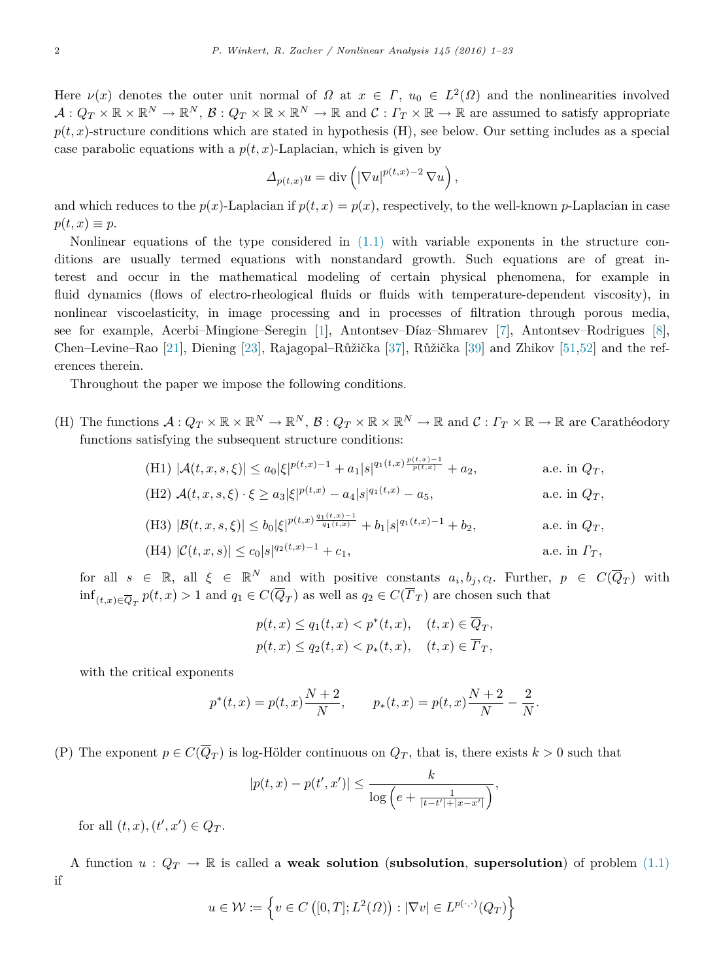Here  $\nu(x)$  denotes the outer unit normal of  $\Omega$  at  $x \in \Gamma$ ,  $u_0 \in L^2(\Omega)$  and the nonlinearities involved  $\mathcal{A}: Q_T \times \mathbb{R} \times \mathbb{R}^N \to \mathbb{R}^N$ ,  $\mathcal{B}: Q_T \times \mathbb{R} \times \mathbb{R}^N \to \mathbb{R}$  and  $\mathcal{C}: \Gamma_T \times \mathbb{R} \to \mathbb{R}$  are assumed to satisfy appropriate  $p(t, x)$ -structure conditions which are stated in hypothesis (H), see below. Our setting includes as a special case parabolic equations with a  $p(t, x)$ -Laplacian, which is given by

$$
\Delta_{p(t,x)} u = \mathrm{div}\left( \left| \nabla u \right|^{p(t,x)-2} \nabla u \right),\,
$$

and which reduces to the  $p(x)$ -Laplacian if  $p(t, x) = p(x)$ , respectively, to the well-known *p*-Laplacian in case  $p(t, x) \equiv p$ .

Nonlinear equations of the type considered in [\(1.1\)](#page-0-3) with variable exponents in the structure conditions are usually termed equations with nonstandard growth. Such equations are of great interest and occur in the mathematical modeling of certain physical phenomena, for example in fluid dynamics (flows of electro-rheological fluids or fluids with temperature-dependent viscosity), in nonlinear viscoelasticity, in image processing and in processes of filtration through porous media, see for example, Acerbi–Mingione–Seregin [\[1\]](#page-21-0), Antontsev–Díaz–Shmarev [\[7\]](#page-21-1), Antontsev–Rodrigues [\[8\]](#page-21-2), Chen–Levine–Rao [\[21\]](#page-22-0), Diening [\[23\]](#page-22-1), Rajagopal–Růžička [\[37\]](#page-22-2), Růžička [\[39\]](#page-22-3) and Zhikov [\[51,](#page-22-4)[52\]](#page-22-5) and the references therein.

Throughout the paper we impose the following conditions.

(H) The functions  $\mathcal{A}: Q_T \times \mathbb{R} \times \mathbb{R}^N \to \mathbb{R}^N$ ,  $\mathcal{B}: Q_T \times \mathbb{R} \times \mathbb{R}^N \to \mathbb{R}$  and  $\mathcal{C}: \Gamma_T \times \mathbb{R} \to \mathbb{R}$  are Carathéodory functions satisfying the subsequent structure conditions:

(H1) 
$$
|\mathcal{A}(t, x, s, \xi)| \le a_0 |\xi|^{p(t, x) - 1} + a_1 |s|^{q_1(t, x) \frac{p(t, x) - 1}{p(t, x)}} + a_2
$$
, a.e. in  $Q_T$ ,  
\n(H2)  $\mathcal{A}(t, x, s, \xi) \cdot \xi \ge a_3 |\xi|^{p(t, x)} - a_4 |s|^{q_1(t, x)} - a_5$ , a.e. in  $Q_T$ ,

(H3) 
$$
|\mathcal{B}(t, x, s, \xi)| \le b_0 |\xi|^{p(t, x) \frac{q_1(t, x) - 1}{q_1(t, x)}} + b_1 |s|^{q_1(t, x) - 1} + b_2
$$
, a.e. in  $Q_T$ ,

(H4) 
$$
|\mathcal{C}(t,x,s)| \leq c_0 |s|^{q_2(t,x)-1} + c_1,
$$
 a.e. in  $\Gamma_T$ ,

for all  $s \in \mathbb{R}$ , all  $\xi \in \mathbb{R}^N$  and with positive constants  $a_i, b_j, c_l$ . Further,  $p \in C(\overline{Q}_T)$  with  $\inf_{(t,x)\in\overline{Q}_T} p(t,x) > 1$  and  $q_1 \in C(Q_T)$  as well as  $q_2 \in C(\Gamma_T)$  are chosen such that

$$
p(t,x) \le q_1(t,x) < p^*(t,x), \quad (t,x) \in \overline{Q}_T,
$$
\n
$$
p(t,x) \le q_2(t,x) < p_*(t,x), \quad (t,x) \in \overline{\Gamma}_T,
$$

with the critical exponents

$$
p^*(t, x) = p(t, x) \frac{N+2}{N},
$$
  $p_*(t, x) = p(t, x) \frac{N+2}{N} - \frac{2}{N}.$ 

(P) The exponent  $p \in C(Q_T)$  is log-Hölder continuous on  $Q_T$ , that is, there exists  $k > 0$  such that

$$
|p(t,x) - p(t',x')| \le \frac{k}{\log\left(e + \frac{1}{|t-t'|+|x-x'|}\right)},
$$

for all  $(t, x), (t', x') \in Q_T$ .

A function  $u: Q_T \to \mathbb{R}$  is called a **weak solution** (**subsolution**, **supersolution**) of problem [\(1.1\)](#page-0-3) if

$$
u \in \mathcal{W} := \left\{ v \in C\left( [0, T]; L^2(\Omega) \right) : |\nabla v| \in L^{p(\cdot, \cdot)}(Q_T) \right\}
$$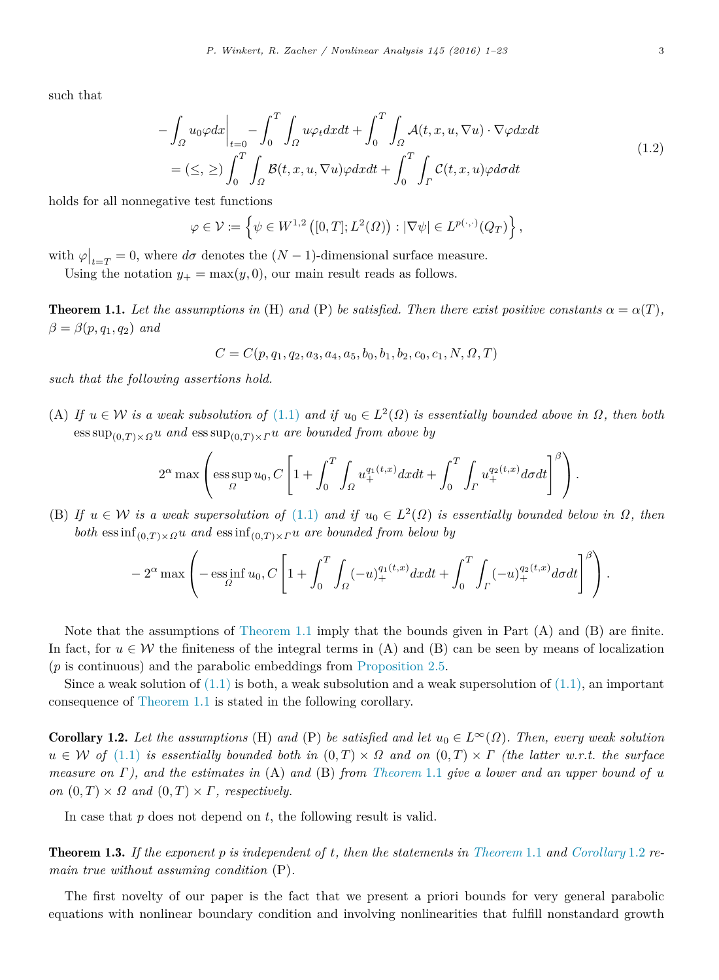such that

$$
-\int_{\Omega} u_0 \varphi dx \Big|_{t=0} - \int_0^T \int_{\Omega} u \varphi_t dx dt + \int_0^T \int_{\Omega} \mathcal{A}(t, x, u, \nabla u) \cdot \nabla \varphi dx dt
$$
  
=  $(\leq, \geq) \int_0^T \int_{\Omega} \mathcal{B}(t, x, u, \nabla u) \varphi dx dt + \int_0^T \int_{\Gamma} \mathcal{C}(t, x, u) \varphi d\sigma dt$  (1.2)

holds for all nonnegative test functions

<span id="page-2-2"></span>
$$
\varphi \in \mathcal{V} := \left\{ \psi \in W^{1,2} \left( [0,T]; L^2(\Omega) \right) : |\nabla \psi| \in L^{p(\cdot,\cdot)}(Q_T) \right\},\
$$

with  $\varphi|_{t=T} = 0$ , where  $d\sigma$  denotes the  $(N-1)$ -dimensional surface measure.

<span id="page-2-0"></span>Using the notation  $y_+ = \max(y, 0)$ , our main result reads as follows.

**Theorem 1.1.** Let the assumptions in (H) and (P) be satisfied. Then there exist positive constants  $\alpha = \alpha(T)$ ,  $\beta = \beta(p, q_1, q_2)$  *and* 

$$
C = C(p, q_1, q_2, a_3, a_4, a_5, b_0, b_1, b_2, c_0, c_1, N, \Omega, T)
$$

*such that the following assertions hold.*

(A) If  $u \in W$  is a weak subsolution of [\(1.1\)](#page-0-3) and if  $u_0 \in L^2(\Omega)$  is essentially bounded above in  $\Omega$ , then both  $\cos \sup_{(0,T)\times \Omega} u$  *and*  $\cos \sup_{(0,T)\times \Omega} u$  *are bounded from above by* 

$$
2^{\alpha} \max \left( \operatorname*{ess\,sup}_{\Omega} u_0, C \left[ 1 + \int_0^T \int_{\Omega} u_+^{q_1(t,x)} dx dt + \int_0^T \int_{\Gamma} u_+^{q_2(t,x)} d\sigma dt \right]^{\beta} \right).
$$

(B) If  $u \in W$  *is a weak supersolution of* [\(1.1\)](#page-0-3) *and if*  $u_0 \in L^2(\Omega)$  *is essentially bounded below in*  $\Omega$ *, then both* ess inf $_{(0,T)\times\Omega}$ *u and* ess inf $_{(0,T)\times\Gamma}$ *u are bounded from below by* 

$$
-2^{\alpha} \max \left(-\operatorname*{ess\,inf}_{\Omega} u_0, C \left[1 + \int_0^T \int_{\Omega} (-u)_+^{q_1(t,x)} dx dt + \int_0^T \int_{\Gamma} (-u)_+^{q_2(t,x)} d\sigma dt\right]^\beta \right).
$$

Note that the assumptions of [Theorem 1.1](#page-2-0) imply that the bounds given in Part (A) and (B) are finite. In fact, for  $u \in \mathcal{W}$  the finiteness of the integral terms in (A) and (B) can be seen by means of localization (*p* is continuous) and the parabolic embeddings from [Proposition 2.5.](#page-7-0)

Since a weak solution of  $(1.1)$  is both, a weak subsolution and a weak supersolution of  $(1.1)$ , an important consequence of [Theorem 1.1](#page-2-0) is stated in the following corollary.

<span id="page-2-1"></span>**Corollary 1.2.** Let the assumptions (H) and (P) be satisfied and let  $u_0 \in L^{\infty}(\Omega)$ . Then, every weak solution  $u \in \mathcal{W}$  *of* [\(1.1\)](#page-0-3) *is essentially bounded both in*  $(0,T) \times \Omega$  *and on*  $(0,T) \times \Gamma$  *(the latter w.r.t. the surface measure on* Γ*), and the estimates in* (A) *and* (B) *from [Theorem](#page-2-0)* 1.1 *give a lower and an upper bound of u on*  $(0, T) \times \Omega$  *and*  $(0, T) \times \Gamma$ *, respectively.* 

In case that *p* does not depend on *t*, the following result is valid.

Theorem 1.3. *If the exponent p is independent of t, then the statements in [Theorem](#page-2-0)* 1.1 *and [Corollary](#page-2-1)* 1.2 *remain true without assuming condition* (P)*.*

The first novelty of our paper is the fact that we present a priori bounds for very general parabolic equations with nonlinear boundary condition and involving nonlinearities that fulfill nonstandard growth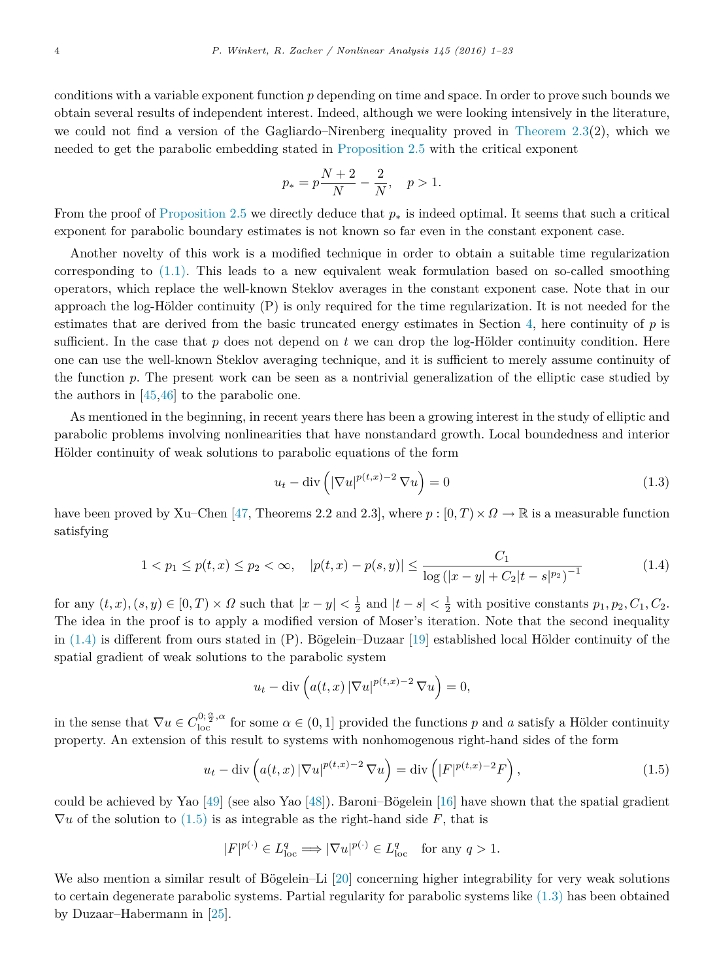conditions with a variable exponent function *p* depending on time and space. In order to prove such bounds we obtain several results of independent interest. Indeed, although we were looking intensively in the literature, we could not find a version of the Gagliardo–Nirenberg inequality proved in [Theorem 2.3\(](#page-5-0)2), which we needed to get the parabolic embedding stated in [Proposition 2.5](#page-7-0) with the critical exponent

$$
p_* = p\frac{N+2}{N} - \frac{2}{N}, \quad p > 1.
$$

From the proof of [Proposition 2.5](#page-7-0) we directly deduce that  $p_*$  is indeed optimal. It seems that such a critical exponent for parabolic boundary estimates is not known so far even in the constant exponent case.

Another novelty of this work is a modified technique in order to obtain a suitable time regularization corresponding to  $(1.1)$ . This leads to a new equivalent weak formulation based on so-called smoothing operators, which replace the well-known Steklov averages in the constant exponent case. Note that in our approach the log-Hölder continuity  $(P)$  is only required for the time regularization. It is not needed for the estimates that are derived from the basic truncated energy estimates in Section [4,](#page-10-0) here continuity of *p* is sufficient. In the case that  $p$  does not depend on  $t$  we can drop the log-Hölder continuity condition. Here one can use the well-known Steklov averaging technique, and it is sufficient to merely assume continuity of the function *p*. The present work can be seen as a nontrivial generalization of the elliptic case studied by the authors in  $[45, 46]$  $[45, 46]$  $[45, 46]$  to the parabolic one.

As mentioned in the beginning, in recent years there has been a growing interest in the study of elliptic and parabolic problems involving nonlinearities that have nonstandard growth. Local boundedness and interior Hölder continuity of weak solutions to parabolic equations of the form

<span id="page-3-2"></span>
$$
u_t - \operatorname{div}\left(|\nabla u|^{p(t,x)-2}\nabla u\right) = 0\tag{1.3}
$$

have been proved by Xu–Chen [\[47,](#page-22-8) Theorems 2.2 and 2.3], where  $p : [0, T) \times \Omega \to \mathbb{R}$  is a measurable function satisfying

<span id="page-3-0"></span>
$$
1 < p_1 \le p(t, x) \le p_2 < \infty, \quad |p(t, x) - p(s, y)| \le \frac{C_1}{\log(|x - y| + C_2|t - s|^{p_2})^{-1}} \tag{1.4}
$$

for any  $(t, x)$ ,  $(s, y) \in [0, T) \times \Omega$  such that  $|x - y| < \frac{1}{2}$  and  $|t - s| < \frac{1}{2}$  with positive constants  $p_1, p_2, C_1, C_2$ . The idea in the proof is to apply a modified version of Moser's iteration. Note that the second inequality in  $(1.4)$  is different from ours stated in  $(P)$ . Bögelein–Duzaar [\[19\]](#page-21-3) established local Hölder continuity of the spatial gradient of weak solutions to the parabolic system

$$
u_t - \operatorname{div}\left(a(t, x) \left|\nabla u\right|^{p(t, x)-2} \nabla u\right) = 0,
$$

in the sense that  $\nabla u \in C^{0;\frac{\alpha}{2},\alpha}_{\text{loc}}$  for some  $\alpha \in (0,1]$  provided the functions *p* and *a* satisfy a Hölder continuity property. An extension of this result to systems with nonhomogenous right-hand sides of the form

<span id="page-3-1"></span>
$$
u_t - \operatorname{div}\left(a(t,x)\left|\nabla u\right|^{p(t,x)-2}\nabla u\right) = \operatorname{div}\left(\left|F\right|^{p(t,x)-2}F\right),\tag{1.5}
$$

could be achieved by Yao  $[49]$  (see also Yao  $[48]$ ). Baroni–Bögelein [\[16\]](#page-21-4) have shown that the spatial gradient  $\nabla u$  of the solution to [\(1.5\)](#page-3-1) is as integrable as the right-hand side F, that is

$$
|F|^{p(\cdot)} \in L^{q}_{\text{loc}} \Longrightarrow |\nabla u|^{p(\cdot)} \in L^{q}_{\text{loc}} \quad \text{for any } q > 1.
$$

We also mention a similar result of Bögelein–Li [\[20\]](#page-22-11) concerning higher integrability for very weak solutions to certain degenerate parabolic systems. Partial regularity for parabolic systems like [\(1.3\)](#page-3-2) has been obtained by Duzaar–Habermann in [\[25\]](#page-22-12).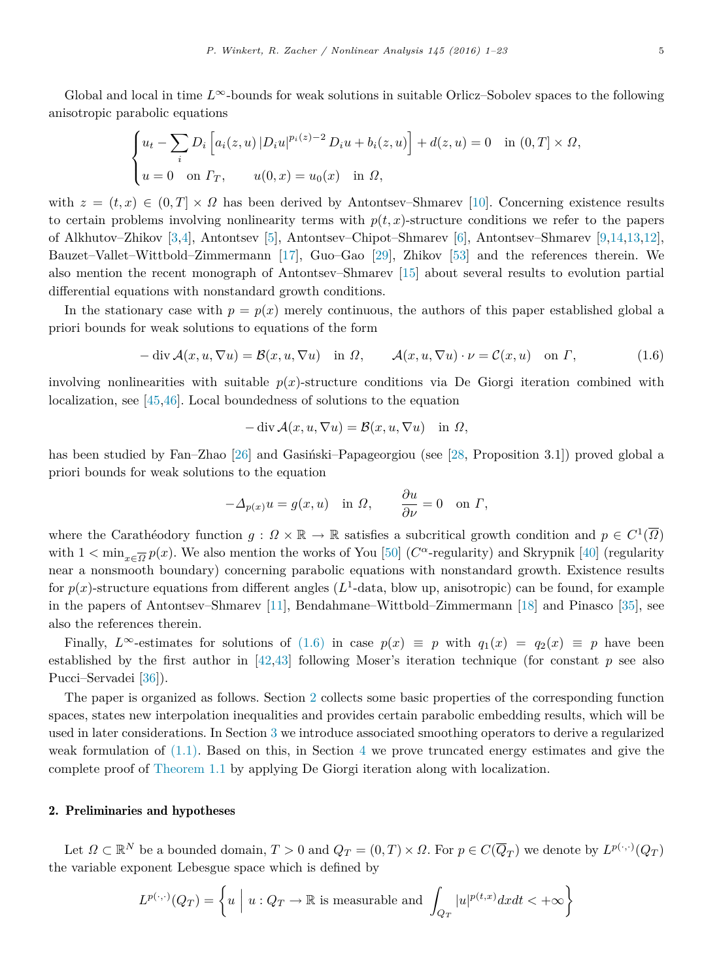Global and local in time *L*∞-bounds for weak solutions in suitable Orlicz–Sobolev spaces to the following anisotropic parabolic equations

$$
\begin{cases} u_t - \sum_i D_i \left[ a_i(z, u) | D_i u |^{p_i(z) - 2} D_i u + b_i(z, u) \right] + d(z, u) = 0 & \text{in } (0, T] \times \Omega, \\ u = 0 & \text{on } \Gamma_T, \qquad u(0, x) = u_0(x) & \text{in } \Omega, \end{cases}
$$

with  $z = (t, x) \in (0, T] \times \Omega$  has been derived by Antontsev–Shmarev [\[10\]](#page-21-5). Concerning existence results to certain problems involving nonlinearity terms with  $p(t, x)$ -structure conditions we refer to the papers of Alkhutov–Zhikov [\[3,](#page-21-6)[4\]](#page-21-7), Antontsev [\[5\]](#page-21-8), Antontsev–Chipot–Shmarev [\[6\]](#page-21-9), Antontsev–Shmarev [\[9,](#page-21-10)[14,](#page-21-11)[13,](#page-21-12)[12\]](#page-21-13), Bauzet–Vallet–Wittbold–Zimmermann [\[17\]](#page-21-14), Guo–Gao [\[29\]](#page-22-13), Zhikov [\[53\]](#page-22-14) and the references therein. We also mention the recent monograph of Antontsev–Shmarev [\[15\]](#page-21-15) about several results to evolution partial differential equations with nonstandard growth conditions.

In the stationary case with  $p = p(x)$  merely continuous, the authors of this paper established global a priori bounds for weak solutions to equations of the form

<span id="page-4-0"></span>
$$
-\operatorname{div} \mathcal{A}(x, u, \nabla u) = \mathcal{B}(x, u, \nabla u) \quad \text{in } \Omega, \qquad \mathcal{A}(x, u, \nabla u) \cdot \nu = \mathcal{C}(x, u) \quad \text{on } \Gamma,
$$
\n(1.6)

involving nonlinearities with suitable  $p(x)$ -structure conditions via De Giorgi iteration combined with localization, see [\[45](#page-22-6)[,46\]](#page-22-7). Local boundedness of solutions to the equation

$$
-\operatorname{div} \mathcal{A}(x, u, \nabla u) = \mathcal{B}(x, u, \nabla u) \quad \text{in } \Omega,
$$

has been studied by Fan-Zhao [\[26\]](#page-22-15) and Gasiński-Papageorgiou (see [\[28,](#page-22-16) Proposition 3.1]) proved global a priori bounds for weak solutions to the equation

$$
-\Delta_{p(x)}u = g(x, u) \text{ in } \Omega, \qquad \frac{\partial u}{\partial \nu} = 0 \text{ on } \Gamma,
$$

where the Carathéodory function  $g: \Omega \times \mathbb{R} \to \mathbb{R}$  satisfies a subcritical growth condition and  $p \in C^1(\overline{\Omega})$ with  $1 < \min_{x \in \overline{\Omega}} p(x)$ . We also mention the works of You [\[50\]](#page-22-17) ( $C^{\alpha}$ -regularity) and Skrypnik [\[40\]](#page-22-18) (regularity near a nonsmooth boundary) concerning parabolic equations with nonstandard growth. Existence results for  $p(x)$ -structure equations from different angles  $(L^1$ -data, blow up, anisotropic) can be found, for example in the papers of Antontsev–Shmarev [\[11\]](#page-21-16), Bendahmane–Wittbold–Zimmermann [\[18\]](#page-21-17) and Pinasco [\[35\]](#page-22-19), see also the references therein.

Finally,  $L^{\infty}$ -estimates for solutions of [\(1.6\)](#page-4-0) in case  $p(x) \equiv p$  with  $q_1(x) = q_2(x) \equiv p$  have been established by the first author in [\[42,](#page-22-20)[43\]](#page-22-21) following Moser's iteration technique (for constant *p* see also Pucci–Servadei [\[36\]](#page-22-22)).

The paper is organized as follows. Section [2](#page-4-1) collects some basic properties of the corresponding function spaces, states new interpolation inequalities and provides certain parabolic embedding results, which will be used in later considerations. In Section [3](#page-8-0) we introduce associated smoothing operators to derive a regularized weak formulation of  $(1.1)$ . Based on this, in Section [4](#page-10-0) we prove truncated energy estimates and give the complete proof of [Theorem 1.1](#page-2-0) by applying De Giorgi iteration along with localization.

#### <span id="page-4-1"></span>2. Preliminaries and hypotheses

Let  $\Omega \subset \mathbb{R}^N$  be a bounded domain,  $T > 0$  and  $Q_T = (0, T) \times \Omega$ . For  $p \in C(\overline{Q}_T)$  we denote by  $L^{p(\cdot,\cdot)}(Q_T)$ the variable exponent Lebesgue space which is defined by

$$
L^{p(\cdot,\cdot)}(Q_T) = \left\{ u \mid u: Q_T \to \mathbb{R} \text{ is measurable and } \int_{Q_T} |u|^{p(t,x)} dx dt < +\infty \right\}
$$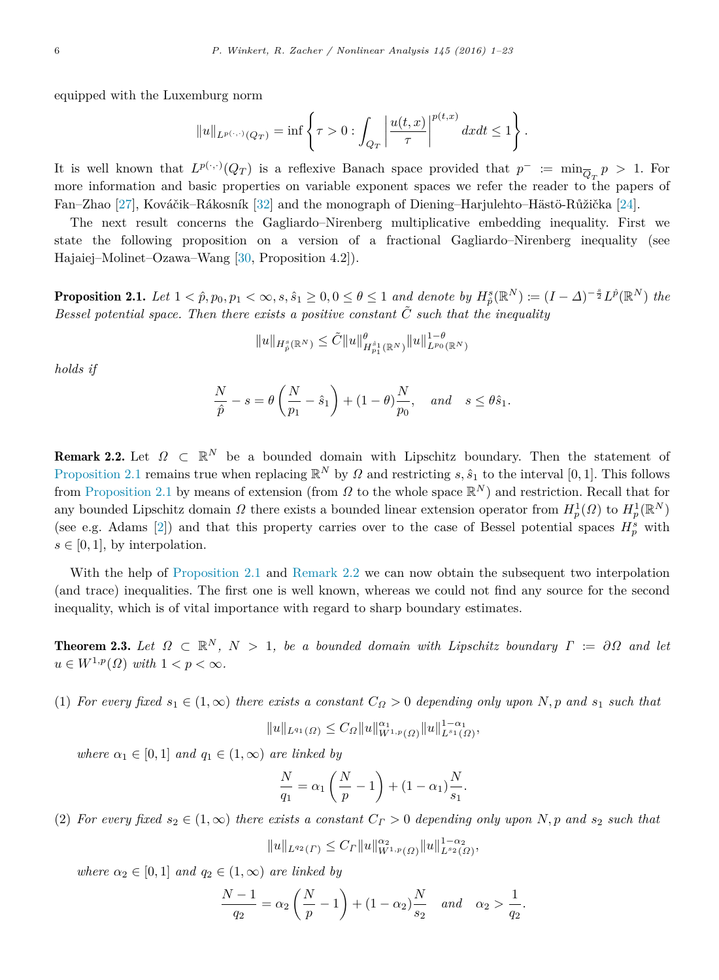equipped with the Luxemburg norm

$$
||u||_{L^{p(\cdot,\cdot)}(Q_T)} = \inf \left\{ \tau > 0 : \int_{Q_T} \left| \frac{u(t,x)}{\tau} \right|^{p(t,x)} dx dt \le 1 \right\}.
$$

It is well known that  $L^{p(\cdot,\cdot)}(Q_T)$  is a reflexive Banach space provided that  $p^- := \min_{\overline{Q}_T} p > 1$ . For more information and basic properties on variable exponent spaces we refer the reader to the papers of Fan–Zhao [\[27\]](#page-22-23), Kováčik–Rákosník [\[32\]](#page-22-24) and the monograph of Diening–Harjulehto–Hästö-Růžička [\[24\]](#page-22-25).

The next result concerns the Gagliardo–Nirenberg multiplicative embedding inequality. First we state the following proposition on a version of a fractional Gagliardo–Nirenberg inequality (see Hajaiej–Molinet–Ozawa–Wang [\[30,](#page-22-26) Proposition 4.2]).

<span id="page-5-1"></span>**Proposition 2.1.** Let  $1 < \hat{p}, p_0, p_1 < \infty, s, \hat{s}_1 \geq 0, 0 \leq \theta \leq 1$  and denote by  $H^s_{\hat{p}}(\mathbb{R}^N) := (I - \Delta)^{-\frac{s}{2}} L^{\hat{p}}(\mathbb{R}^N)$  the *Bessel potential space. Then there exists a positive constant*  $\tilde{C}$  *such that the inequality* 

$$
||u||_{H_{\hat{p}}^{s}(\mathbb{R}^{N})} \leq \tilde{C}||u||_{H_{p_{1}}^{\hat{s}_{1}}(\mathbb{R}^{N})}^{\theta}||u||_{L^{p_{0}}(\mathbb{R}^{N})}^{1-\theta}
$$

*holds if*

$$
\frac{N}{\hat{p}} - s = \theta \left( \frac{N}{p_1} - \hat{s}_1 \right) + (1 - \theta) \frac{N}{p_0}, \quad \text{and} \quad s \le \theta \hat{s}_1.
$$

<span id="page-5-2"></span>**Remark 2.2.** Let  $\Omega \subset \mathbb{R}^N$  be a bounded domain with Lipschitz boundary. Then the statement of [Proposition 2.1](#page-5-1) remains true when replacing  $\mathbb{R}^N$  by  $\Omega$  and restricting  $s, \hat{s}_1$  to the interval [0, 1]. This follows from [Proposition 2.1](#page-5-1) by means of extension (from  $\Omega$  to the whole space  $\mathbb{R}^N$ ) and restriction. Recall that for any bounded Lipschitz domain  $\Omega$  there exists a bounded linear extension operator from  $H_p^1(\Omega)$  to  $H_p^1(\mathbb{R}^N)$ (see e.g. Adams [\[2\]](#page-21-18)) and that this property carries over to the case of Bessel potential spaces  $H_p^s$  with  $s \in [0, 1]$ , by interpolation.

With the help of [Proposition 2.1](#page-5-1) and [Remark 2.2](#page-5-2) we can now obtain the subsequent two interpolation (and trace) inequalities. The first one is well known, whereas we could not find any source for the second inequality, which is of vital importance with regard to sharp boundary estimates.

<span id="page-5-0"></span>**Theorem 2.3.** Let  $\Omega \subset \mathbb{R}^N$ ,  $N > 1$ , be a bounded domain with Lipschitz boundary  $\Gamma := \partial \Omega$  and let  $u \in W^{1,p}(\Omega)$  *with*  $1 < p < \infty$ *.* 

(1) *For every fixed*  $s_1 \in (1,\infty)$  *there exists a constant*  $C_{\Omega} > 0$  *depending only upon*  $N, p$  *and*  $s_1$  *such that* 

$$
||u||_{L^{q_1}(\Omega)} \leq C_{\Omega} ||u||_{W^{1,p}(\Omega)}^{\alpha_1} ||u||_{L^{s_1}(\Omega)}^{1-\alpha_1},
$$

*where*  $\alpha_1 \in [0,1]$  *and*  $q_1 \in (1,\infty)$  *are linked by* 

$$
\frac{N}{q_1} = \alpha_1 \left( \frac{N}{p} - 1 \right) + (1 - \alpha_1) \frac{N}{s_1}.
$$

(2) *For every fixed*  $s_2 \in (1,\infty)$  *there exists a constant*  $C_\Gamma > 0$  *depending only upon*  $N, p$  *and*  $s_2$  *such that* 

$$
||u||_{L^{q_2}(\Gamma)} \leq C_{\Gamma} ||u||_{W^{1,p}(\Omega)}^{\alpha_2} ||u||_{L^{s_2}(\Omega)}^{1-\alpha_2},
$$

*where*  $\alpha_2 \in [0,1]$  *and*  $q_2 \in (1,\infty)$  *are linked by* 

$$
\frac{N-1}{q_2} = \alpha_2 \left( \frac{N}{p} - 1 \right) + (1 - \alpha_2) \frac{N}{s_2} \quad and \quad \alpha_2 > \frac{1}{q_2}.
$$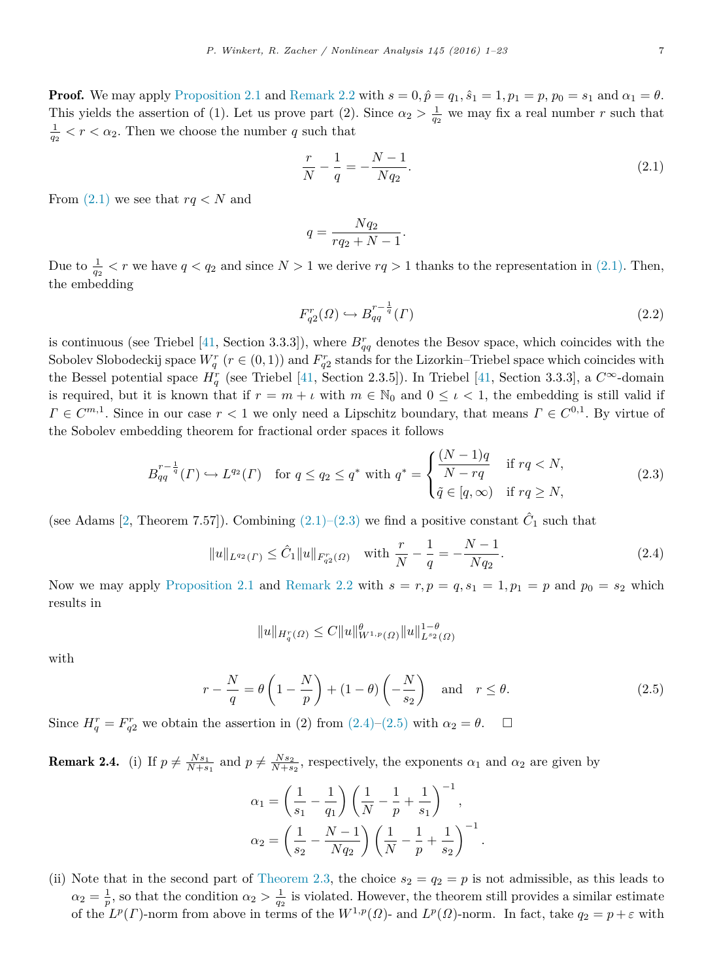**Proof.** We may apply [Proposition 2.1](#page-5-1) and [Remark 2.2](#page-5-2) with  $s = 0, \hat{p} = q_1, \hat{s}_1 = 1, p_1 = p, p_0 = s_1$  and  $\alpha_1 = \theta$ . This yields the assertion of (1). Let us prove part (2). Since  $\alpha_2 > \frac{1}{q_2}$  we may fix a real number *r* such that  $\frac{1}{q_2}$  <  $r$  <  $\alpha_2$ . Then we choose the number *q* such that

<span id="page-6-2"></span><span id="page-6-0"></span>
$$
\frac{r}{N} - \frac{1}{q} = -\frac{N-1}{Nq_2}.\tag{2.1}
$$

From  $(2.1)$  we see that  $rq < N$  and

$$
q = \frac{Nq_2}{rq_2 + N - 1}.
$$

Due to  $\frac{1}{q_2} < r$  we have  $q < q_2$  and since  $N > 1$  we derive  $rq > 1$  thanks to the representation in [\(2.1\).](#page-6-0) Then, the embedding

$$
F_{q2}^r(\Omega) \hookrightarrow B_{qq}^{r-\frac{1}{q}}(\Gamma) \tag{2.2}
$$

is continuous (see Triebel [\[41,](#page-22-27) Section 3.3.3]), where  $B_{qq}^r$  denotes the Besov space, which coincides with the Sobolev Slobodeckij space  $W_q^r$  ( $r \in (0,1)$ ) and  $F_{q2}^r$  stands for the Lizorkin–Triebel space which coincides with the Bessel potential space  $H_q^r$  (see Triebel [\[41,](#page-22-27) Section 2.3.5]). In Triebel [41, Section 3.3.3], a  $C^{\infty}$ -domain is required, but it is known that if  $r = m + \iota$  with  $m \in \mathbb{N}_0$  and  $0 \leq \iota < 1$ , the embedding is still valid if  $\Gamma \in \mathbb{C}^{m,1}$ . Since in our case  $r < 1$  we only need a Lipschitz boundary, that means  $\Gamma \in \mathbb{C}^{0,1}$ . By virtue of the Sobolev embedding theorem for fractional order spaces it follows

$$
B_{qq}^{r-\frac{1}{q}}(\Gamma) \hookrightarrow L^{q_2}(\Gamma) \quad \text{for } q \le q_2 \le q^* \text{ with } q^* = \begin{cases} \frac{(N-1)q}{N-rq} & \text{if } rq < N, \\ \tilde{q} \in [q,\infty) & \text{if } rq \ge N, \end{cases} \tag{2.3}
$$

(see Adams [\[2,](#page-21-18) Theorem 7.57]). Combining  $(2.1)$ – $(2.3)$  we find a positive constant  $\hat{C}_1$  such that

<span id="page-6-1"></span>
$$
||u||_{L^{q_2}(\Gamma)} \leq \hat{C}_1 ||u||_{F_{q_2}^r(\Omega)} \quad \text{with } \frac{r}{N} - \frac{1}{q} = -\frac{N-1}{Nq_2}.
$$
 (2.4)

Now we may apply [Proposition 2.1](#page-5-1) and [Remark 2.2](#page-5-2) with  $s = r, p = q, s_1 = 1, p_1 = p$  and  $p_0 = s_2$  which results in

$$
||u||_{H_q^r(\Omega)} \leq C||u||_{W^{1,p}(\Omega)}^{\theta} ||u||_{L^{s_2}(\Omega)}^{1-\theta}
$$

with

$$
r - \frac{N}{q} = \theta \left( 1 - \frac{N}{p} \right) + (1 - \theta) \left( -\frac{N}{s_2} \right) \quad \text{and} \quad r \le \theta. \tag{2.5}
$$

Since  $H_q^r = F_{q2}^r$  we obtain the assertion in (2) from  $(2.4)$ – $(2.5)$  with  $\alpha_2 = \theta$ .

**Remark 2.4.** (i) If  $p \neq \frac{Ns_1}{N+s_1}$  and  $p \neq \frac{Ns_2}{N+s_2}$ , respectively, the exponents  $\alpha_1$  and  $\alpha_2$  are given by

$$
\alpha_1 = \left(\frac{1}{s_1} - \frac{1}{q_1}\right) \left(\frac{1}{N} - \frac{1}{p} + \frac{1}{s_1}\right)^{-1},
$$
  

$$
\alpha_2 = \left(\frac{1}{s_2} - \frac{N-1}{Nq_2}\right) \left(\frac{1}{N} - \frac{1}{p} + \frac{1}{s_2}\right)^{-1}.
$$

(ii) Note that in the second part of [Theorem 2.3,](#page-5-0) the choice  $s_2 = q_2 = p$  is not admissible, as this leads to  $\alpha_2 = \frac{1}{p}$ , so that the condition  $\alpha_2 > \frac{1}{q_2}$  is violated. However, the theorem still provides a similar estimate of the  $L^p(\Gamma)$ -norm from above in terms of the  $W^{1,p}(\Omega)$ - and  $L^p(\Omega)$ -norm. In fact, take  $q_2 = p + \varepsilon$  with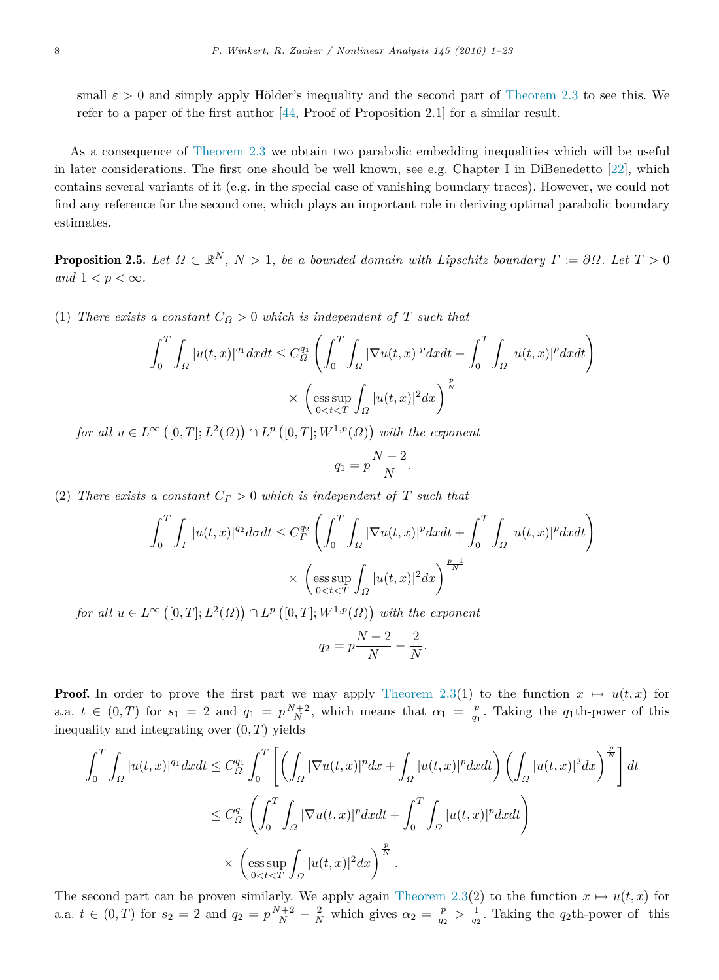small  $\varepsilon > 0$  and simply apply Hölder's inequality and the second part of [Theorem 2.3](#page-5-0) to see this. We refer to a paper of the first author [\[44,](#page-22-28) Proof of Proposition 2.1] for a similar result.

As a consequence of [Theorem 2.3](#page-5-0) we obtain two parabolic embedding inequalities which will be useful in later considerations. The first one should be well known, see e.g. Chapter I in DiBenedetto [\[22\]](#page-22-29), which contains several variants of it (e.g. in the special case of vanishing boundary traces). However, we could not find any reference for the second one, which plays an important role in deriving optimal parabolic boundary estimates.

**Proposition 2.5.** Let  $\Omega \subset \mathbb{R}^N$ ,  $N > 1$ , be a bounded domain with Lipschitz boundary  $\Gamma := \partial \Omega$ . Let  $T > 0$ *and*  $1 < p < \infty$ *.* 

(1) *There exists a constant*  $C_{\Omega} > 0$  *which is independent of T such that* 

<span id="page-7-0"></span>
$$
\int_0^T \int_{\Omega} |u(t,x)|^{q_1} dx dt \leq C_{\Omega}^{q_1} \left( \int_0^T \int_{\Omega} |\nabla u(t,x)|^p dx dt + \int_0^T \int_{\Omega} |u(t,x)|^p dx dt \right)
$$

$$
\times \left( \underset{0 < t < T}{\operatorname{ess \, sup}} \int_{\Omega} |u(t,x)|^2 dx \right)^{\frac{p}{N}}
$$

 $for \ all \ u \in L^{\infty}([0,T]; L^2(\Omega)) \cap L^p([0,T]; W^{1,p}(\Omega)) \ with \ the \ exponent$ 

$$
q_1 = p \frac{N+2}{N}.
$$

(2) *There exists a constant*  $C_F > 0$  *which is independent of*  $T$  *such that* 

$$
\int_0^T \int_{\Gamma} |u(t,x)|^{q_2} d\sigma dt \leq C_T^{q_2} \left( \int_0^T \int_{\Omega} |\nabla u(t,x)|^p dx dt + \int_0^T \int_{\Omega} |u(t,x)|^p dx dt \right)
$$

$$
\times \left( \underset{0 < t < T}{\operatorname{ess\,sup}} \int_{\Omega} |u(t,x)|^2 dx \right)^{\frac{p-1}{N}}
$$

 $for \ all \ u \in L^{\infty}([0,T]; L^2(\Omega)) \cap L^p([0,T]; W^{1,p}(\Omega)) \ with \ the \ exponent$ 

$$
q_2 = p\frac{N+2}{N} - \frac{2}{N}.
$$

**Proof.** In order to prove the first part we may apply [Theorem 2.3\(](#page-5-0)1) to the function  $x \mapsto u(t, x)$  for a.a.  $t \in (0,T)$  for  $s_1 = 2$  and  $q_1 = p\frac{N+2}{N}$ , which means that  $\alpha_1 = \frac{p}{q_1}$ . Taking the  $q_1$ th-power of this inequality and integrating over (0*, T*) yields

$$
\int_0^T \int_{\Omega} |u(t,x)|^{q_1} dx dt \leq C_{\Omega}^{q_1} \int_0^T \left[ \left( \int_{\Omega} |\nabla u(t,x)|^p dx + \int_{\Omega} |u(t,x)|^p dx dt \right) \left( \int_{\Omega} |u(t,x)|^2 dx \right)^{\frac{p}{N}} \right] dt
$$
  

$$
\leq C_{\Omega}^{q_1} \left( \int_0^T \int_{\Omega} |\nabla u(t,x)|^p dx dt + \int_0^T \int_{\Omega} |u(t,x)|^p dx dt \right)
$$
  

$$
\times \left( \underset{0 \leq t \leq T}{\operatorname{ess}} \underset{\Omega}{\operatorname{sup}} \int_{\Omega} |u(t,x)|^2 dx \right)^{\frac{p}{N}}.
$$

The second part can be proven similarly. We apply again [Theorem 2.3\(](#page-5-0)2) to the function  $x \mapsto u(t, x)$  for a.a.  $t \in (0,T)$  for  $s_2 = 2$  and  $q_2 = p\frac{N+2}{N} - \frac{2}{N}$  which gives  $\alpha_2 = \frac{p}{q_2} > \frac{1}{q_2}$ . Taking the  $q_2$ th-power of this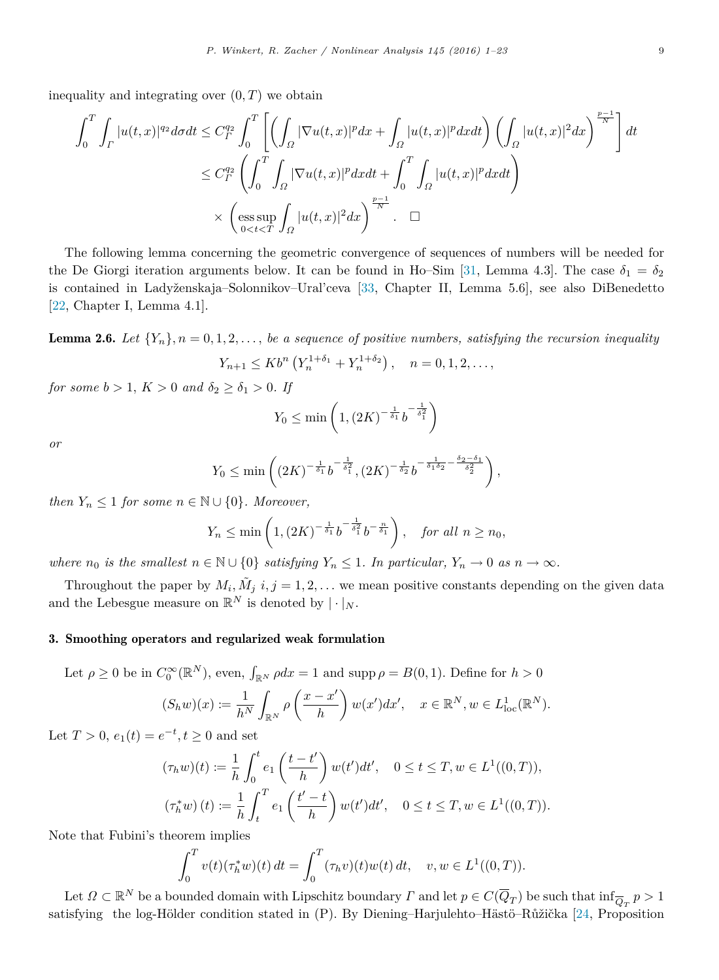inequality and integrating over  $(0, T)$  we obtain

$$
\int_0^T \int_{\Gamma} |u(t,x)|^{q_2} d\sigma dt \leq C_T^{q_2} \int_0^T \left[ \left( \int_{\Omega} |\nabla u(t,x)|^p dx + \int_{\Omega} |u(t,x)|^p dx dt \right) \left( \int_{\Omega} |u(t,x)|^2 dx \right)^{\frac{p-1}{N}} \right] dt
$$
  

$$
\leq C_T^{q_2} \left( \int_0^T \int_{\Omega} |\nabla u(t,x)|^p dx dt + \int_0^T \int_{\Omega} |u(t,x)|^p dx dt \right)
$$
  

$$
\times \left( \underset{0 < t < T}{\mathrm{ess} \sup} \int_{\Omega} |u(t,x)|^2 dx \right)^{\frac{p-1}{N}} . \quad \Box
$$

The following lemma concerning the geometric convergence of sequences of numbers will be needed for the De Giorgi iteration arguments below. It can be found in Ho–Sim [\[31,](#page-22-30) Lemma 4.3]. The case  $\delta_1 = \delta_2$ is contained in Ladyženskaja–Solonnikov–Ural'ceva [\[33,](#page-22-31) Chapter II, Lemma 5.6], see also DiBenedetto [\[22,](#page-22-29) Chapter I, Lemma 4.1].

<span id="page-8-1"></span>**Lemma 2.6.** Let  $\{Y_n\}$ ,  $n = 0, 1, 2, \ldots$ , be a sequence of positive numbers, satisfying the recursion inequality

$$
Y_{n+1} \leq Kb^{n} \left( Y_{n}^{1+\delta_{1}} + Y_{n}^{1+\delta_{2}} \right), \quad n = 0, 1, 2, \dots,
$$

*for some*  $b > 1$ *,*  $K > 0$  *and*  $\delta_2 \geq \delta_1 > 0$ *. If* 

$$
Y_0 \le \min\left(1, (2K)^{-\frac{1}{\delta_1}} b^{-\frac{1}{\delta_1^2}}\right)
$$

*or*

$$
Y_0 \le \min\left( (2K)^{-\frac{1}{\delta_1}} b^{-\frac{1}{\delta_1^2}}, (2K)^{-\frac{1}{\delta_2}} b^{-\frac{1}{\delta_1 \delta_2} - \frac{\delta_2 - \delta_1}{\delta_2^2}} \right),
$$

*then*  $Y_n \leq 1$  *for some*  $n \in \mathbb{N} \cup \{0\}$ *. Moreover,* 

$$
Y_n \le \min\left(1, \left(2K\right)^{-\frac{1}{\delta_1}} b^{-\frac{1}{\delta_1^2}} b^{-\frac{n}{\delta_1}}\right), \quad \text{for all } n \ge n_0,
$$

*where*  $n_0$  *is the smallest*  $n \in \mathbb{N} \cup \{0\}$  *satisfying*  $Y_n \leq 1$ *. In particular,*  $Y_n \to 0$  *as*  $n \to \infty$ *.* 

Throughout the paper by  $M_i$ ,  $\tilde{M}_j$   $i, j = 1, 2, \ldots$  we mean positive constants depending on the given data and the Lebesgue measure on  $\mathbb{R}^N$  is denoted by  $|\cdot|_N$ .

#### <span id="page-8-0"></span>3. Smoothing operators and regularized weak formulation

Let  $\rho \ge 0$  be in  $C_0^{\infty}(\mathbb{R}^N)$ , even,  $\int_{\mathbb{R}^N} \rho dx = 1$  and supp  $\rho = B(0, 1)$ . Define for  $h > 0$ 

$$
(S_h w)(x) := \frac{1}{h^N} \int_{\mathbb{R}^N} \rho\left(\frac{x - x'}{h}\right) w(x') dx', \quad x \in \mathbb{R}^N, w \in L^1_{loc}(\mathbb{R}^N).
$$

Let  $T > 0$ ,  $e_1(t) = e^{-t}, t \ge 0$  and set

$$
(\tau_h w)(t) := \frac{1}{h} \int_0^t e_1\left(\frac{t - t'}{h}\right) w(t')dt', \quad 0 \le t \le T, w \in L^1((0, T)),
$$
  

$$
(\tau_h^* w)(t) := \frac{1}{h} \int_t^T e_1\left(\frac{t' - t}{h}\right) w(t')dt', \quad 0 \le t \le T, w \in L^1((0, T)).
$$

Note that Fubini's theorem implies

$$
\int_0^T v(t)(\tau_h^* w)(t) dt = \int_0^T (\tau_h v)(t)w(t) dt, \quad v, w \in L^1((0,T)).
$$

Let  $\Omega \subset \mathbb{R}^N$  be a bounded domain with Lipschitz boundary  $\Gamma$  and let  $p \in C(\overline{Q}_T)$  be such that  $\inf_{\overline{Q}_T} p > 1$ satisfying the log-Hölder condition stated in (P). By Diening–Harjulehto–Hästö–Růžička [\[24,](#page-22-25) Proposition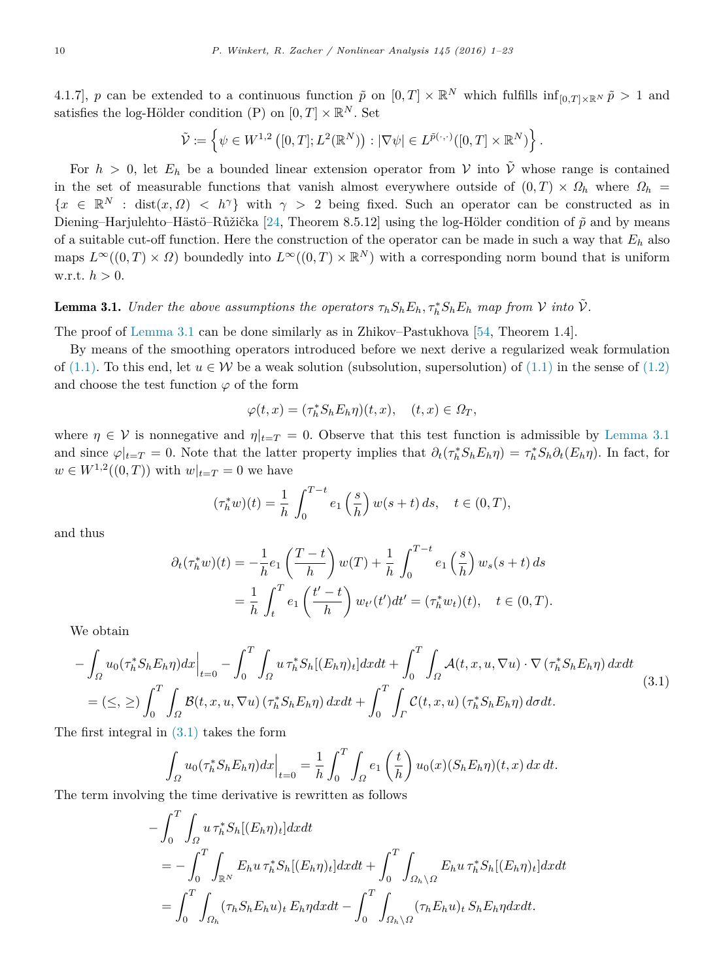4.1.7, *p* can be extended to a continuous function  $\tilde{p}$  on  $[0,T] \times \mathbb{R}^N$  which fulfills  $\inf_{[0,T] \times \mathbb{R}^N} \tilde{p} > 1$  and satisfies the log-Hölder condition (P) on  $[0, T] \times \mathbb{R}^N$ . Set

$$
\tilde{\mathcal{V}}:=\left\{\psi\in W^{1,2}\left([0,T];L^2(\mathbb{R}^N)\right):|\nabla\psi|\in L^{\tilde{p}(\cdot,\cdot)}([0,T]\times\mathbb{R}^N)\right\}.
$$

For  $h > 0$ , let  $E_h$  be a bounded linear extension operator from V into  $\tilde{V}$  whose range is contained in the set of measurable functions that vanish almost everywhere outside of  $(0, T) \times \Omega_h$  where  $\Omega_h$  ${x \in \mathbb{R}^N : dist(x, \Omega) < h^{\gamma}}$  with  $\gamma > 2$  being fixed. Such an operator can be constructed as in Diening–Harjulehto–Hästö–Růžička [\[24,](#page-22-25) Theorem 8.5.12] using the log-Hölder condition of  $\tilde{p}$  and by means of a suitable cut-off function. Here the construction of the operator can be made in such a way that *E<sup>h</sup>* also maps  $L^{\infty}((0,T) \times \Omega)$  boundedly into  $L^{\infty}((0,T) \times \mathbb{R}^{N})$  with a corresponding norm bound that is uniform w.r.t. *h >* 0.

## <span id="page-9-0"></span>**Lemma 3.1.** *Under the above assumptions the operators*  $\tau_h S_h E_h$ ,  $\tau_h^* S_h E_h$  *map from*  $V$  *into*  $\tilde{V}$ *.*

The proof of [Lemma 3.1](#page-9-0) can be done similarly as in Zhikov–Pastukhova [\[54,](#page-22-32) Theorem 1.4].

By means of the smoothing operators introduced before we next derive a regularized weak formulation of [\(1.1\).](#page-0-3) To this end, let  $u \in \mathcal{W}$  be a weak solution (subsolution, supersolution) of [\(1.1\)](#page-0-3) in the sense of [\(1.2\)](#page-2-2) and choose the test function  $\varphi$  of the form

$$
\varphi(t,x) = (\tau_h^* S_h E_h \eta)(t,x), \quad (t,x) \in \Omega_T,
$$

where  $\eta \in V$  is nonnegative and  $\eta|_{t=T} = 0$ . Observe that this test function is admissible by [Lemma 3.1](#page-9-0) and since  $\varphi|_{t=T} = 0$ . Note that the latter property implies that  $\partial_t(\tau_h^* S_h E_h \eta) = \tau_h^* S_h \partial_t(E_h \eta)$ . In fact, for *w* ∈ *W*<sup>1,2</sup>((0,*T*)) with  $w|_{t=T} = 0$  we have

<span id="page-9-1"></span>
$$
(\tau_h^* w)(t) = \frac{1}{h} \int_0^{T-t} e_1\left(\frac{s}{h}\right) w(s+t) \, ds, \quad t \in (0, T),
$$

and thus

$$
\partial_t(\tau_h^* w)(t) = -\frac{1}{h} e_1 \left(\frac{T-t}{h}\right) w(T) + \frac{1}{h} \int_0^{T-t} e_1 \left(\frac{s}{h}\right) w_s(s+t) ds
$$
  
=  $\frac{1}{h} \int_t^T e_1 \left(\frac{t'-t}{h}\right) w_{t'}(t') dt' = (\tau_h^* w_t)(t), \quad t \in (0, T).$ 

We obtain

$$
-\int_{\Omega} u_0(\tau_h^* S_h E_h \eta) dx \Big|_{t=0} - \int_0^T \int_{\Omega} u \tau_h^* S_h[(E_h \eta)_t] dx dt + \int_0^T \int_{\Omega} \mathcal{A}(t, x, u, \nabla u) \cdot \nabla (\tau_h^* S_h E_h \eta) dx dt
$$
  

$$
= (\leq, \geq) \int_0^T \int_{\Omega} \mathcal{B}(t, x, u, \nabla u) (\tau_h^* S_h E_h \eta) dx dt + \int_0^T \int_{\Gamma} \mathcal{C}(t, x, u) (\tau_h^* S_h E_h \eta) d\sigma dt.
$$
 (3.1)

The first integral in  $(3.1)$  takes the form

$$
\int_{\Omega} u_0(\tau_h^* S_h E_h \eta) dx \Big|_{t=0} = \frac{1}{h} \int_0^T \int_{\Omega} e_1\left(\frac{t}{h}\right) u_0(x) (S_h E_h \eta)(t, x) dx dt.
$$

The term involving the time derivative is rewritten as follows

$$
-\int_0^T \int_{\Omega} u \,\tau_h^* S_h[(E_h \eta)_t] dx dt
$$
  
= 
$$
-\int_0^T \int_{\mathbb{R}^N} E_h u \,\tau_h^* S_h[(E_h \eta)_t] dx dt + \int_0^T \int_{\Omega_h \setminus \Omega} E_h u \,\tau_h^* S_h[(E_h \eta)_t] dx dt
$$
  
= 
$$
\int_0^T \int_{\Omega_h} (\tau_h S_h E_h u)_t E_h \eta dx dt - \int_0^T \int_{\Omega_h \setminus \Omega} (\tau_h E_h u)_t S_h E_h \eta dx dt.
$$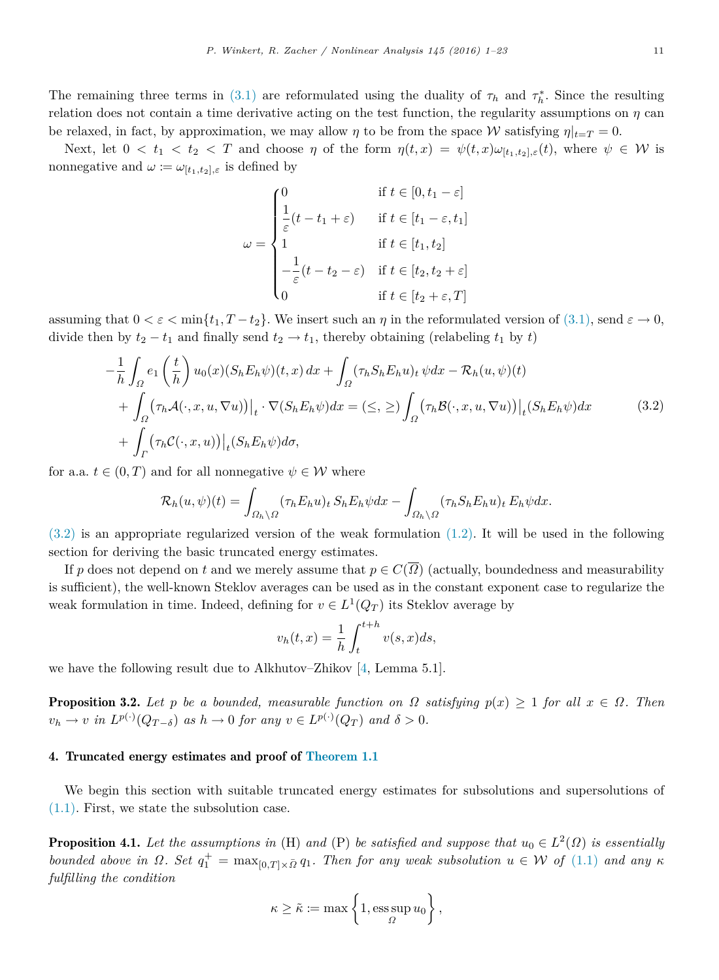The remaining three terms in [\(3.1\)](#page-9-1) are reformulated using the duality of  $\tau_h$  and  $\tau_h^*$ . Since the resulting relation does not contain a time derivative acting on the test function, the regularity assumptions on  $\eta$  can be relaxed, in fact, by approximation, we may allow *η* to be from the space W satisfying  $\eta|_{t=T} = 0$ .

Next, let  $0 < t_1 < t_2 < T$  and choose  $\eta$  of the form  $\eta(t,x) = \psi(t,x) \omega_{[t_1,t_2],\varepsilon}(t)$ , where  $\psi \in \mathcal{W}$  is nonnegative and  $\omega := \omega_{[t_1,t_2],\varepsilon}$  is defined by

<span id="page-10-1"></span>
$$
\omega = \begin{cases}\n0 & \text{if } t \in [0, t_1 - \varepsilon] \\
\frac{1}{\varepsilon}(t - t_1 + \varepsilon) & \text{if } t \in [t_1 - \varepsilon, t_1] \\
1 & \text{if } t \in [t_1, t_2] \\
-\frac{1}{\varepsilon}(t - t_2 - \varepsilon) & \text{if } t \in [t_2, t_2 + \varepsilon] \\
0 & \text{if } t \in [t_2 + \varepsilon, T]\n\end{cases}
$$

assuming that  $0 < \varepsilon < \min\{t_1, T - t_2\}$ . We insert such an  $\eta$  in the reformulated version of [\(3.1\),](#page-9-1) send  $\varepsilon \to 0$ , divide then by  $t_2 - t_1$  and finally send  $t_2 \rightarrow t_1$ , thereby obtaining (relabeling  $t_1$  by  $t$ )

$$
-\frac{1}{h} \int_{\Omega} e_1 \left(\frac{t}{h}\right) u_0(x) (S_h E_h \psi)(t, x) dx + \int_{\Omega} (\tau_h S_h E_h u)_t \psi dx - \mathcal{R}_h(u, \psi)(t)
$$
  
+ 
$$
\int_{\Omega} (\tau_h \mathcal{A}(\cdot, x, u, \nabla u)) \Big|_t \cdot \nabla (S_h E_h \psi) dx = (\leq, \geq) \int_{\Omega} (\tau_h \mathcal{B}(\cdot, x, u, \nabla u)) \Big|_t (S_h E_h \psi) dx
$$
(3.2)  
+ 
$$
\int_{\Gamma} (\tau_h \mathcal{C}(\cdot, x, u)) \Big|_t (S_h E_h \psi) d\sigma,
$$

for a.a.  $t \in (0, T)$  and for all nonnegative  $\psi \in \mathcal{W}$  where

$$
\mathcal{R}_h(u,\psi)(t) = \int_{\Omega_h \setminus \Omega} (\tau_h E_h u)_t S_h E_h \psi dx - \int_{\Omega_h \setminus \Omega} (\tau_h S_h E_h u)_t E_h \psi dx.
$$

[\(3.2\)](#page-10-1) is an appropriate regularized version of the weak formulation [\(1.2\).](#page-2-2) It will be used in the following section for deriving the basic truncated energy estimates.

If *p* does not depend on *t* and we merely assume that  $p \in C(\overline{\Omega})$  (actually, boundedness and measurability is sufficient), the well-known Steklov averages can be used as in the constant exponent case to regularize the weak formulation in time. Indeed, defining for  $v \in L^1(Q_T)$  its Steklov average by

$$
v_h(t,x) = \frac{1}{h} \int_t^{t+h} v(s,x)ds,
$$

we have the following result due to Alkhutov–Zhikov [\[4,](#page-21-7) Lemma 5.1].

**Proposition 3.2.** Let *p* be a bounded, measurable function on  $\Omega$  satisfying  $p(x) \geq 1$  for all  $x \in \Omega$ . Then  $v_h \to v$  *in*  $L^{p(\cdot)}(Q_{T-\delta})$  *as*  $h \to 0$  *for any*  $v \in L^{p(\cdot)}(Q_T)$  *and*  $\delta > 0$ *.* 

#### <span id="page-10-0"></span>4. Truncated energy estimates and proof of [Theorem 1.1](#page-2-0)

We begin this section with suitable truncated energy estimates for subsolutions and supersolutions of [\(1.1\).](#page-0-3) First, we state the subsolution case.

<span id="page-10-2"></span>**Proposition 4.1.** Let the assumptions in (H) and (P) be satisfied and suppose that  $u_0 \in L^2(\Omega)$  is essentially *bounded above in*  $\Omega$ *. Set*  $q_1^+ = \max_{[0,T]\times \bar{\Omega}} q_1$ *. Then for any weak subsolution*  $u \in \mathcal{W}$  *of* [\(1.1\)](#page-0-3) *and any*  $\kappa$ *fulfilling the condition*

$$
\kappa \geq \tilde{\kappa} := \max \left\{ 1, \operatorname*{ess\,sup}_{\Omega} u_0 \right\},\,
$$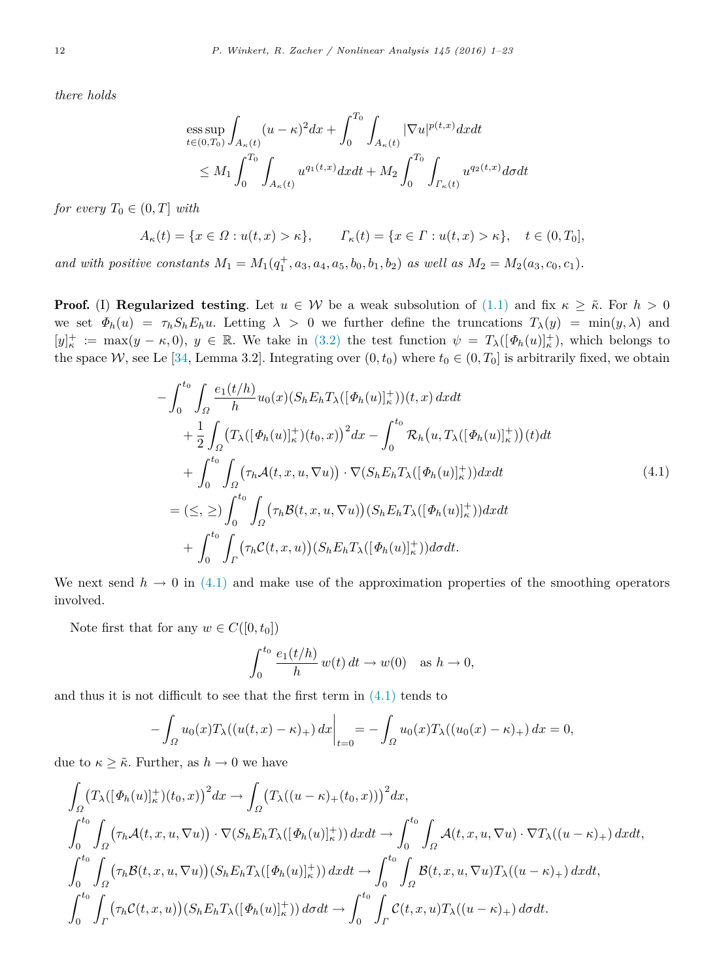*there holds*

$$
\begin{aligned}\n&\text{ess}\sup_{t\in(0,T_0)} \int_{A_\kappa(t)} (u-\kappa)^2 dx + \int_0^{T_0} \int_{A_\kappa(t)} |\nabla u|^{p(t,x)} dx dt \\
&\leq M_1 \int_0^{T_0} \int_{A_\kappa(t)} u^{q_1(t,x)} dx dt + M_2 \int_0^{T_0} \int_{\Gamma_\kappa(t)} u^{q_2(t,x)} d\sigma dt\n\end{aligned}
$$

*for every*  $T_0 \in (0, T]$  *with* 

$$
A_{\kappa}(t) = \{x \in \Omega : u(t, x) > \kappa\}, \qquad \Gamma_{\kappa}(t) = \{x \in \Gamma : u(t, x) > \kappa\}, \quad t \in (0, T_0],
$$

*and with positive constants*  $M_1 = M_1(q_1^+, a_3, a_4, a_5, b_0, b_1, b_2)$  *as well as*  $M_2 = M_2(a_3, c_0, c_1)$ *.* 

**Proof.** (I) **Regularized testing**. Let  $u \in W$  be a weak subsolution of [\(1.1\)](#page-0-3) and fix  $\kappa \geq \tilde{\kappa}$ . For  $h > 0$ we set  $\Phi_h(u) = \tau_h S_h E_h u$ . Letting  $\lambda > 0$  we further define the truncations  $T_\lambda(y) = \min(y, \lambda)$  and  $[y]_{\kappa}^+ := \max(y - \kappa, 0), y \in \mathbb{R}$ . We take in [\(3.2\)](#page-10-1) the test function  $\psi = T_{\lambda}([\Phi_h(u)]_{\kappa}^+),$  which belongs to the space W, see Le [\[34,](#page-22-33) Lemma 3.2]. Integrating over  $(0, t_0)$  where  $t_0 \in (0, T_0]$  is arbitrarily fixed, we obtain

$$
-\int_{0}^{t_{0}}\int_{\Omega}\frac{e_{1}(t/h)}{h}u_{0}(x)(S_{h}E_{h}T_{\lambda}([\Phi_{h}(u)]_{\kappa}^{+}))(t,x) dxdt + \frac{1}{2}\int_{\Omega}(T_{\lambda}([\Phi_{h}(u)]_{\kappa}^{+})(t_{0},x))^{2} dx - \int_{0}^{t_{0}}\mathcal{R}_{h}(u,T_{\lambda}([\Phi_{h}(u)]_{\kappa}^{+}))(t) dt + \int_{0}^{t_{0}}\int_{\Omega}(\tau_{h}\mathcal{A}(t,x,u,\nabla u)) \cdot \nabla(S_{h}E_{h}T_{\lambda}([\Phi_{h}(u)]_{\kappa}^{+})) dxdt = (\leq,\geq) \int_{0}^{t_{0}}\int_{\Omega}(\tau_{h}\mathcal{B}(t,x,u,\nabla u))(S_{h}E_{h}T_{\lambda}([\Phi_{h}(u)]_{\kappa}^{+})) dxdt + \int_{0}^{t_{0}}\int_{\Gamma}(\tau_{h}\mathcal{C}(t,x,u))(S_{h}E_{h}T_{\lambda}([\Phi_{h}(u)]_{\kappa}^{+})) d\sigma dt.
$$
\n(4.1)

We next send  $h \to 0$  in [\(4.1\)](#page-11-0) and make use of the approximation properties of the smoothing operators involved.

Note first that for any  $w \in C([0, t_0])$ 

<span id="page-11-0"></span>
$$
\int_0^{t_0} \frac{e_1(t/h)}{h} w(t) dt \to w(0) \text{ as } h \to 0,
$$

and thus it is not difficult to see that the first term in  $(4.1)$  tends to

$$
-\int_{\Omega} u_0(x) T_{\lambda}((u(t,x)-\kappa)_+) dx \Big|_{t=0} = -\int_{\Omega} u_0(x) T_{\lambda}((u_0(x)-\kappa)_+) dx = 0,
$$

due to  $\kappa \geq \tilde{\kappa}$ . Further, as  $h \to 0$  we have

$$
\int_{\Omega} (T_{\lambda}([\Phi_h(u)]_\kappa^+)(t_0, x))^2 dx \to \int_{\Omega} (T_{\lambda}((u-\kappa)_+(t_0, x)))^2 dx,
$$
\n
$$
\int_0^{t_0} \int_{\Omega} (\tau_h \mathcal{A}(t, x, u, \nabla u)) \cdot \nabla (S_h E_h T_{\lambda}([\Phi_h(u)]_\kappa^+)) dx dt \to \int_0^{t_0} \int_{\Omega} \mathcal{A}(t, x, u, \nabla u) \cdot \nabla T_{\lambda}((u-\kappa)_+) dx dt,
$$
\n
$$
\int_0^{t_0} \int_{\Omega} (\tau_h \mathcal{B}(t, x, u, \nabla u))(S_h E_h T_{\lambda}([\Phi_h(u)]_\kappa^+)) dx dt \to \int_0^{t_0} \int_{\Omega} \mathcal{B}(t, x, u, \nabla u) T_{\lambda}((u-\kappa)_+) dx dt,
$$
\n
$$
\int_0^{t_0} \int_{\Gamma} (\tau_h \mathcal{C}(t, x, u))(S_h E_h T_{\lambda}([\Phi_h(u)]_\kappa^+)) d\sigma dt \to \int_0^{t_0} \int_{\Gamma} \mathcal{C}(t, x, u) T_{\lambda}((u-\kappa)_+) d\sigma dt.
$$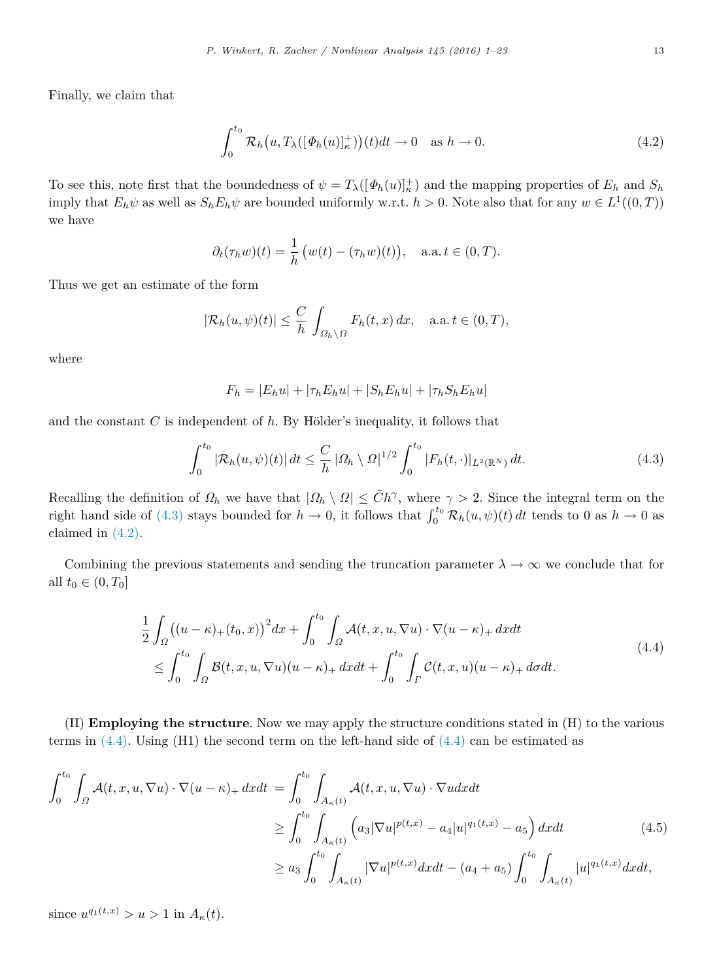Finally, we claim that

<span id="page-12-1"></span>
$$
\int_0^{t_0} \mathcal{R}_h(u, T_\lambda([\Phi_h(u)]_\kappa^+))(t)dt \to 0 \quad \text{as } h \to 0.
$$
 (4.2)

To see this, note first that the boundedness of  $\psi = T_\lambda([\Phi_h(u)]_\kappa^+)$  and the mapping properties of  $E_h$  and  $S_h$ imply that  $E_h\psi$  as well as  $S_hE_h\psi$  are bounded uniformly w.r.t.  $h > 0$ . Note also that for any  $w \in L^1((0,T))$ we have

$$
\partial_t(\tau_h w)(t) = \frac{1}{h} \left( w(t) - (\tau_h w)(t) \right), \quad \text{a.a. } t \in (0, T).
$$

Thus we get an estimate of the form

$$
|\mathcal{R}_h(u,\psi)(t)| \leq \frac{C}{h} \int_{\Omega_h \setminus \Omega} F_h(t,x) \, dx, \quad \text{a.a. } t \in (0,T),
$$

where

<span id="page-12-2"></span>
$$
F_h = |E_h u| + |\tau_h E_h u| + |S_h E_h u| + |\tau_h S_h E_h u|
$$

and the constant  $C$  is independent of  $h$ . By Hölder's inequality, it follows that

<span id="page-12-0"></span>
$$
\int_0^{t_0} |\mathcal{R}_h(u,\psi)(t)| \, dt \le \frac{C}{h} \left| \Omega_h \setminus \Omega \right|^{1/2} \int_0^{t_0} |F_h(t,\cdot)|_{L^2(\mathbb{R}^N)} \, dt. \tag{4.3}
$$

Recalling the definition of  $\Omega_h$  we have that  $|\Omega_h \setminus \Omega| \leq \tilde{C}h^{\gamma}$ , where  $\gamma > 2$ . Since the integral term on the right hand side of [\(4.3\)](#page-12-0) stays bounded for  $h \to 0$ , it follows that  $\int_0^{t_0} \mathcal{R}_h(u, \psi)(t) dt$  tends to 0 as  $h \to 0$  as claimed in [\(4.2\).](#page-12-1)

Combining the previous statements and sending the truncation parameter  $\lambda \to \infty$  we conclude that for all  $t_0 \in (0, T_0]$ 

$$
\frac{1}{2} \int_{\Omega} \left( (u - \kappa)_+(t_0, x) \right)^2 dx + \int_0^{t_0} \int_{\Omega} \mathcal{A}(t, x, u, \nabla u) \cdot \nabla (u - \kappa)_+ dx dt
$$
\n
$$
\leq \int_0^{t_0} \int_{\Omega} \mathcal{B}(t, x, u, \nabla u)(u - \kappa)_+ dx dt + \int_0^{t_0} \int_{\Gamma} \mathcal{C}(t, x, u)(u - \kappa)_+ d\sigma dt.
$$
\n(4.4)

(II) **Employing the structure**. Now we may apply the structure conditions stated in (H) to the various terms in  $(4.4)$ . Using  $(H1)$  the second term on the left-hand side of  $(4.4)$  can be estimated as

$$
\int_{0}^{t_{0}} \int_{\Omega} \mathcal{A}(t, x, u, \nabla u) \cdot \nabla (u - \kappa)_{+} dx dt = \int_{0}^{t_{0}} \int_{A_{\kappa}(t)} \mathcal{A}(t, x, u, \nabla u) \cdot \nabla u dx dt
$$
\n
$$
\geq \int_{0}^{t_{0}} \int_{A_{\kappa}(t)} \left( a_{3} |\nabla u|^{p(t, x)} - a_{4} |u|^{q_{1}(t, x)} - a_{5} \right) dx dt \qquad (4.5)
$$
\n
$$
\geq a_{3} \int_{0}^{t_{0}} \int_{A_{\kappa}(t)} |\nabla u|^{p(t, x)} dx dt - (a_{4} + a_{5}) \int_{0}^{t_{0}} \int_{A_{\kappa}(t)} |u|^{q_{1}(t, x)} dx dt,
$$

since  $u^{q_1(t,x)} > u > 1$  in  $A_{\kappa}(t)$ .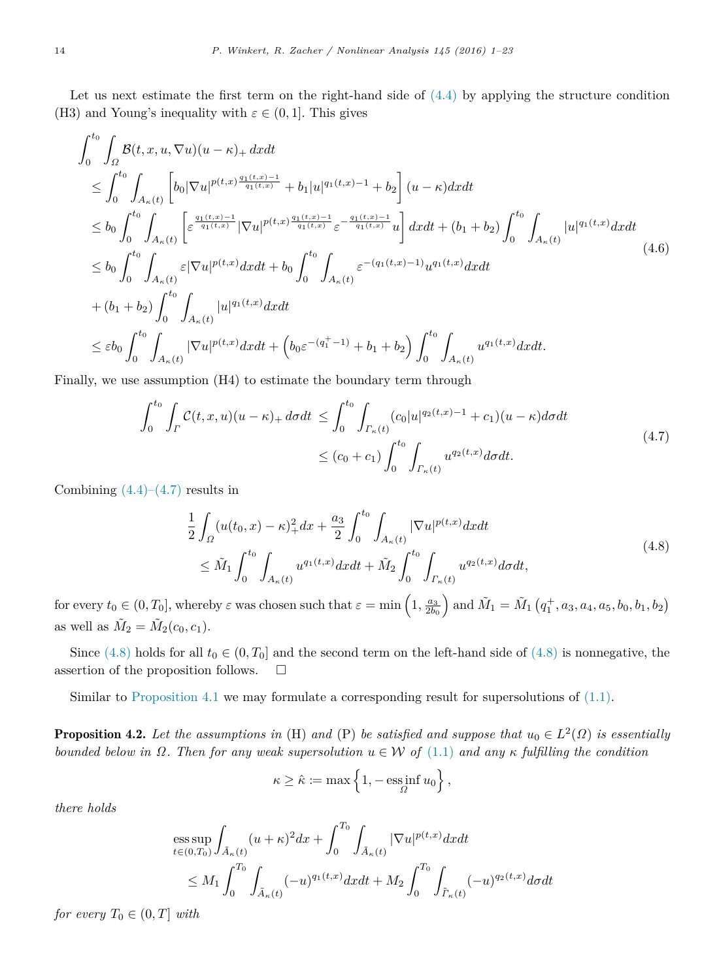Let us next estimate the first term on the right-hand side of  $(4.4)$  by applying the structure condition (H3) and Young's inequality with  $\varepsilon \in (0, 1]$ . This gives

$$
\int_{0}^{t_{0}} \int_{\Omega} \mathcal{B}(t, x, u, \nabla u)(u - \kappa) + dxdt \n\leq \int_{0}^{t_{0}} \int_{A_{\kappa}(t)} \left[ b_{0} |\nabla u|^{p(t, x)} \frac{q_{1}(t, x) - 1}{q_{1}(t, x)} + b_{1}|u|^{q_{1}(t, x) - 1} + b_{2} \right] (u - \kappa) dx dt \n\leq b_{0} \int_{0}^{t_{0}} \int_{A_{\kappa}(t)} \left[ \varepsilon^{\frac{q_{1}(t, x) - 1}{q_{1}(t, x)}} |\nabla u|^{p(t, x)} \frac{q_{1}(t, x) - 1}{q_{1}(t, x)} \varepsilon^{-\frac{q_{1}(t, x) - 1}{q_{1}(t, x)}} u \right] dx dt + (b_{1} + b_{2}) \int_{0}^{t_{0}} \int_{A_{\kappa}(t)} |u|^{q_{1}(t, x)} dx dt \n\leq b_{0} \int_{0}^{t_{0}} \int_{A_{\kappa}(t)} \varepsilon |\nabla u|^{p(t, x)} dx dt + b_{0} \int_{0}^{t_{0}} \int_{A_{\kappa}(t)} \varepsilon^{-(q_{1}(t, x) - 1)} u^{q_{1}(t, x)} dx dt \n+ (b_{1} + b_{2}) \int_{0}^{t_{0}} \int_{A_{\kappa}(t)} |u|^{q_{1}(t, x)} dx dt \n\leq \varepsilon b_{0} \int_{0}^{t_{0}} \int_{A_{\kappa}(t)} |\nabla u|^{p(t, x)} dx dt + (b_{0} \varepsilon^{-(q_{1}^{+} - 1)} + b_{1} + b_{2}) \int_{0}^{t_{0}} \int_{A_{\kappa}(t)} u^{q_{1}(t, x)} dx dt.
$$
\n(4.6)

Finally, we use assumption (H4) to estimate the boundary term through

$$
\int_{0}^{t_{0}} \int_{\Gamma} C(t, x, u)(u - \kappa)_{+} d\sigma dt \le \int_{0}^{t_{0}} \int_{\Gamma_{\kappa}(t)} (c_{0}|u|^{q_{2}(t, x)-1} + c_{1})(u - \kappa) d\sigma dt
$$
\n
$$
\le (c_{0} + c_{1}) \int_{0}^{t_{0}} \int_{\Gamma_{\kappa}(t)} u^{q_{2}(t, x)} d\sigma dt.
$$
\n(4.7)

Combining  $(4.4)$ – $(4.7)$  results in

$$
\frac{1}{2} \int_{\Omega} (u(t_0, x) - \kappa)_{+}^2 dx + \frac{a_3}{2} \int_{0}^{t_0} \int_{A_{\kappa}(t)} |\nabla u|^{p(t, x)} dx dt \n\leq \tilde{M}_1 \int_{0}^{t_0} \int_{A_{\kappa}(t)} u^{q_1(t, x)} dx dt + \tilde{M}_2 \int_{0}^{t_0} \int_{\Gamma_{\kappa}(t)} u^{q_2(t, x)} d\sigma dt,
$$
\n(4.8)

for every  $t_0 \in (0, T_0]$ , whereby  $\varepsilon$  was chosen such that  $\varepsilon = \min\left(1, \frac{a_3}{2b_0}\right)$  and  $\tilde{M}_1 = \tilde{M}_1\left(q_1^+, a_3, a_4, a_5, b_0, b_1, b_2\right)$ as well as  $\tilde{M}_2 = \tilde{M}_2(c_0, c_1)$ .

Since  $(4.8)$  holds for all  $t_0 \in (0, T_0]$  and the second term on the left-hand side of  $(4.8)$  is nonnegative, the assertion of the proposition follows.  $\Box$ 

<span id="page-13-1"></span>Similar to [Proposition 4.1](#page-10-2) we may formulate a corresponding result for supersolutions of [\(1.1\).](#page-0-3)

**Proposition 4.2.** Let the assumptions in (H) and (P) be satisfied and suppose that  $u_0 \in L^2(\Omega)$  is essentially *bounded below in*  $Ω$ *. Then for any weak supersolution*  $u ∈ W$  *of*  $(1.1)$  *and any*  $κ$  *fulfilling the condition* 

<span id="page-13-0"></span>
$$
\kappa \geq \hat{\kappa} := \max\left\{1, -\operatorname*{\mathrm{ess\,inf}}_{\varOmega}u_0\right\},\,
$$

*there holds*

$$
\begin{split} & \underset{t \in (0,T_0)}{\mathrm{ess}\sup} \int_{\tilde{A}_{\kappa}(t)} (u+\kappa)^2 dx + \int_0^{T_0} \int_{\tilde{A}_{\kappa}(t)} |\nabla u|^{p(t,x)} dx dt \\ &\leq M_1 \int_0^{T_0} \int_{\tilde{A}_{\kappa}(t)} (-u)^{q_1(t,x)} dx dt + M_2 \int_0^{T_0} \int_{\tilde{\Gamma}_{\kappa}(t)} (-u)^{q_2(t,x)} d\sigma dt \end{split}
$$

*for every*  $T_0 \in (0, T]$  *with*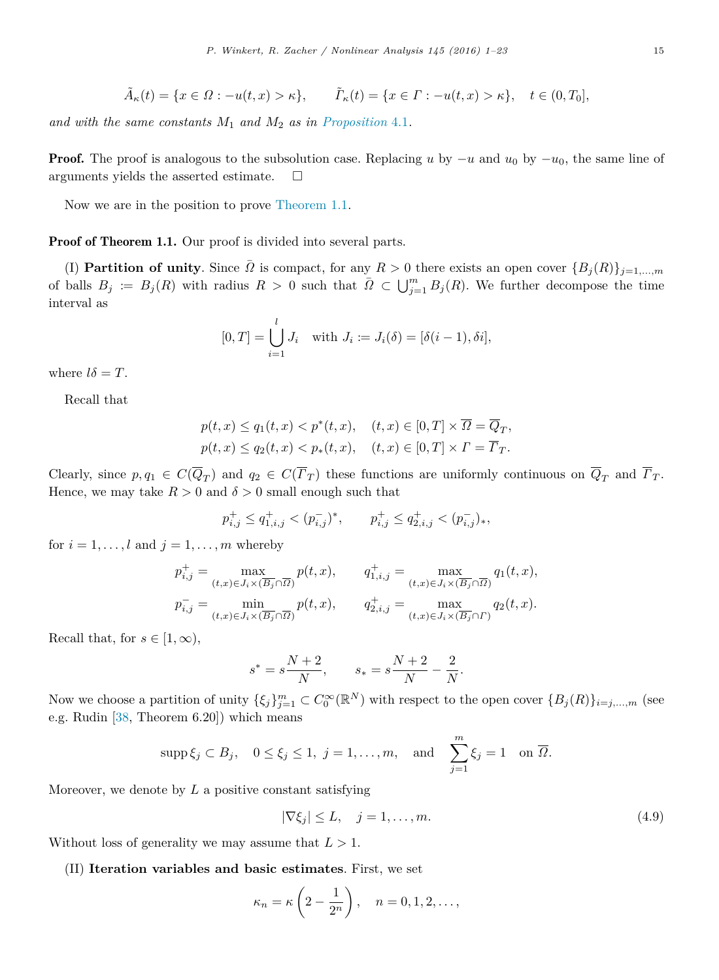$$
\tilde{A}_{\kappa}(t) = \{x \in \Omega : -u(t, x) > \kappa\}, \qquad \tilde{\Gamma}_{\kappa}(t) = \{x \in \Gamma : -u(t, x) > \kappa\}, \quad t \in (0, T_0],
$$

*and with the same constants M*<sup>1</sup> *and M*<sup>2</sup> *as in [Proposition](#page-10-2)* 4.1*.*

Proof. The proof is analogous to the subsolution case. Replacing *u* by −*u* and *u*<sup>0</sup> by −*u*0, the same line of arguments yields the asserted estimate.  $\square$ 

Now we are in the position to prove [Theorem 1.1.](#page-2-0)

Proof of Theorem 1.1. Our proof is divided into several parts.

(I) **Partition of unity**. Since  $\overline{\Omega}$  is compact, for any  $R > 0$  there exists an open cover  ${B_j(R)}_{j=1,\dots,m}$ of balls  $B_j := B_j(R)$  with radius  $R > 0$  such that  $\overline{\Omega} \subset \bigcup_{j=1}^m B_j(R)$ . We further decompose the time interval as

$$
[0,T] = \bigcup_{i=1}^{l} J_i \quad \text{with } J_i := J_i(\delta) = [\delta(i-1), \delta i],
$$

where  $l\delta = T$ .

Recall that

$$
p(t,x) \le q_1(t,x) < p^*(t,x), \quad (t,x) \in [0,T] \times \overline{\Omega} = \overline{Q}_T,
$$
\n
$$
p(t,x) \le q_2(t,x) < p_*(t,x), \quad (t,x) \in [0,T] \times \Gamma = \overline{\Gamma}_T.
$$

Clearly, since  $p, q_1 \in C(Q_T)$  and  $q_2 \in C(\Gamma_T)$  these functions are uniformly continuous on  $Q_T$  and  $\Gamma_T$ . Hence, we may take  $R > 0$  and  $\delta > 0$  small enough such that

$$
p_{i,j}^+ \le q_{1,i,j}^+ < (p_{i,j}^-)^*, \qquad p_{i,j}^+ \le q_{2,i,j}^+ < (p_{i,j}^-)_*,
$$

for  $i = 1, \ldots, l$  and  $j = 1, \ldots, m$  whereby

$$
\begin{aligned} p_{i,j}^+ &= \max_{(t,x)\in J_i\times (\overline{B_j}\cap \overline{\Omega})} p(t,x), \qquad q_{1,i,j}^+ = \max_{(t,x)\in J_i\times (\overline{B_j}\cap \overline{\Omega})} q_1(t,x),\\ p_{i,j}^- &= \min_{(t,x)\in J_i\times (\overline{B_j}\cap \overline{\Omega})} p(t,x), \qquad q_{2,i,j}^+ &= \max_{(t,x)\in J_i\times (\overline{B_j}\cap \Gamma)} q_2(t,x). \end{aligned}
$$

Recall that, for  $s \in [1, \infty)$ ,

$$
s^* = s\frac{N+2}{N}, \qquad s_* = s\frac{N+2}{N} - \frac{2}{N}.
$$

Now we choose a partition of unity  $\{\xi_j\}_{j=1}^m \subset C_0^{\infty}(\mathbb{R}^N)$  with respect to the open cover  $\{B_j(R)\}_{i=j,\dots,m}$  (see e.g. Rudin [\[38,](#page-22-34) Theorem 6.20]) which means

$$
supp \xi_j \subset B_j
$$
,  $0 \le \xi_j \le 1$ ,  $j = 1, ..., m$ , and  $\sum_{j=1}^m \xi_j = 1$  on  $\overline{\Omega}$ .

Moreover, we denote by *L* a positive constant satisfying

<span id="page-14-0"></span>
$$
|\nabla \xi_j| \le L, \quad j = 1, \dots, m. \tag{4.9}
$$

Without loss of generality we may assume that  $L > 1$ .

(II) **Iteration variables and basic estimates**. First, we set

$$
\kappa_n = \kappa \left( 2 - \frac{1}{2^n} \right), \quad n = 0, 1, 2, \dots,
$$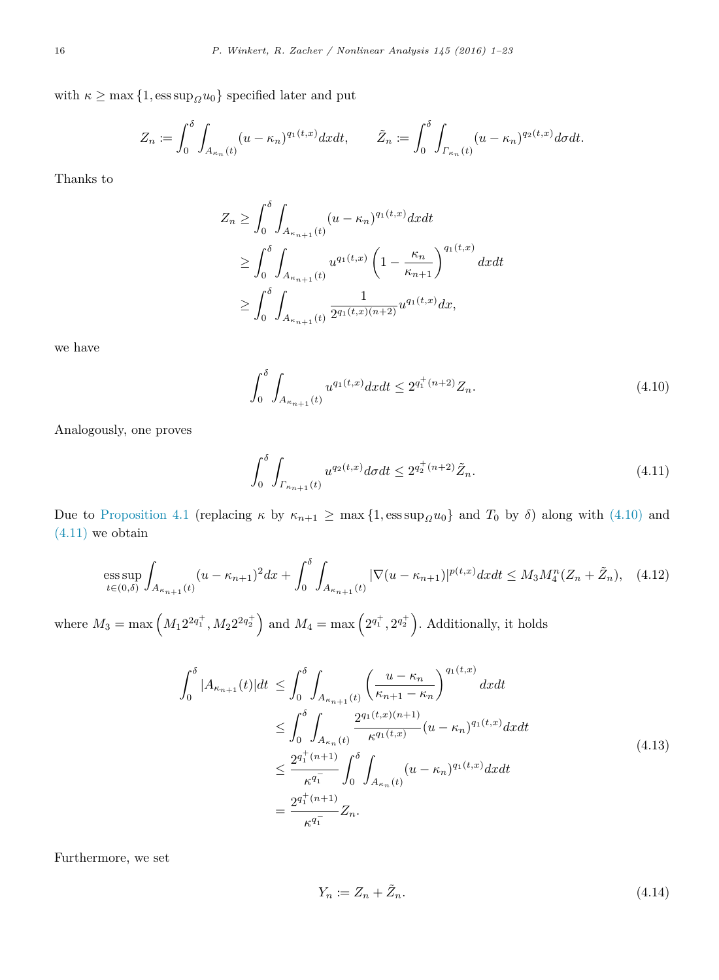with  $\kappa \geq \max\{1, \text{ess sup}_{\Omega} u_0\}$  specified later and put

$$
Z_n := \int_0^\delta \int_{A_{\kappa_n}(t)} (u - \kappa_n)^{q_1(t,x)} dx dt, \qquad \tilde{Z}_n := \int_0^\delta \int_{\Gamma_{\kappa_n}(t)} (u - \kappa_n)^{q_2(t,x)} d\sigma dt.
$$

Thanks to

$$
Z_n \ge \int_0^\delta \int_{A_{\kappa_{n+1}}(t)} (u - \kappa_n)^{q_1(t,x)} dx dt
$$
  
\n
$$
\ge \int_0^\delta \int_{A_{\kappa_{n+1}}(t)} u^{q_1(t,x)} \left(1 - \frac{\kappa_n}{\kappa_{n+1}}\right)^{q_1(t,x)} dx dt
$$
  
\n
$$
\ge \int_0^\delta \int_{A_{\kappa_{n+1}}(t)} \frac{1}{2^{q_1(t,x)}(n+2)} u^{q_1(t,x)} dx,
$$

we have

<span id="page-15-0"></span>
$$
\int_0^\delta \int_{A_{\kappa_{n+1}}(t)} u^{q_1(t,x)} dx dt \le 2^{q_1^+(n+2)} Z_n. \tag{4.10}
$$

Analogously, one proves

<span id="page-15-1"></span>
$$
\int_0^\delta \int_{\Gamma_{\kappa_{n+1}}(t)} u^{q_2(t,x)} d\sigma dt \le 2^{q_2^+(n+2)} \tilde{Z}_n. \tag{4.11}
$$

Due to [Proposition 4.1](#page-10-2) (replacing  $\kappa$  by  $\kappa_{n+1} \ge \max\{1, \mathrm{ess\,sup}_{\Omega} u_0\}$  and  $T_0$  by  $\delta$ ) along with [\(4.10\)](#page-15-0) and  $(4.11)$  we obtain

<span id="page-15-2"></span>
$$
\underset{t\in(0,\delta)}{\mathrm{ess}}\sup\int_{A_{\kappa_{n+1}}(t)}(u-\kappa_{n+1})^2dx+\int_0^\delta\int_{A_{\kappa_{n+1}}(t)}|\nabla(u-\kappa_{n+1})|^{p(t,x)}dxdt\leq M_3M_4^n(Z_n+\tilde{Z}_n),\quad(4.12)
$$

where  $M_3 = \max (M_1 2^{2q_1^+}, M_2 2^{2q_2^+})$  and  $M_4 = \max (2^{q_1^+}, 2^{q_2^+})$ . Additionally, it holds

$$
\int_{0}^{\delta} |A_{\kappa_{n+1}}(t)| dt \leq \int_{0}^{\delta} \int_{A_{\kappa_{n+1}}(t)} \left(\frac{u - \kappa_{n}}{\kappa_{n+1} - \kappa_{n}}\right)^{q_{1}(t,x)} dx dt
$$
  
\n
$$
\leq \int_{0}^{\delta} \int_{A_{\kappa_{n}}(t)} \frac{2^{q_{1}(t,x)(n+1)}}{\kappa^{q_{1}(t,x)}} (u - \kappa_{n})^{q_{1}(t,x)} dx dt
$$
  
\n
$$
\leq \frac{2^{q_{1}^{+}(n+1)}}{\kappa^{q_{1}^{-}}}\int_{0}^{\delta} \int_{A_{\kappa_{n}}(t)} (u - \kappa_{n})^{q_{1}(t,x)} dx dt
$$
  
\n
$$
= \frac{2^{q_{1}^{+}(n+1)}}{\kappa^{q_{1}^{-}}} Z_{n}.
$$
\n(4.13)

Furthermore, we set

<span id="page-15-4"></span><span id="page-15-3"></span>
$$
Y_n := Z_n + \tilde{Z}_n. \tag{4.14}
$$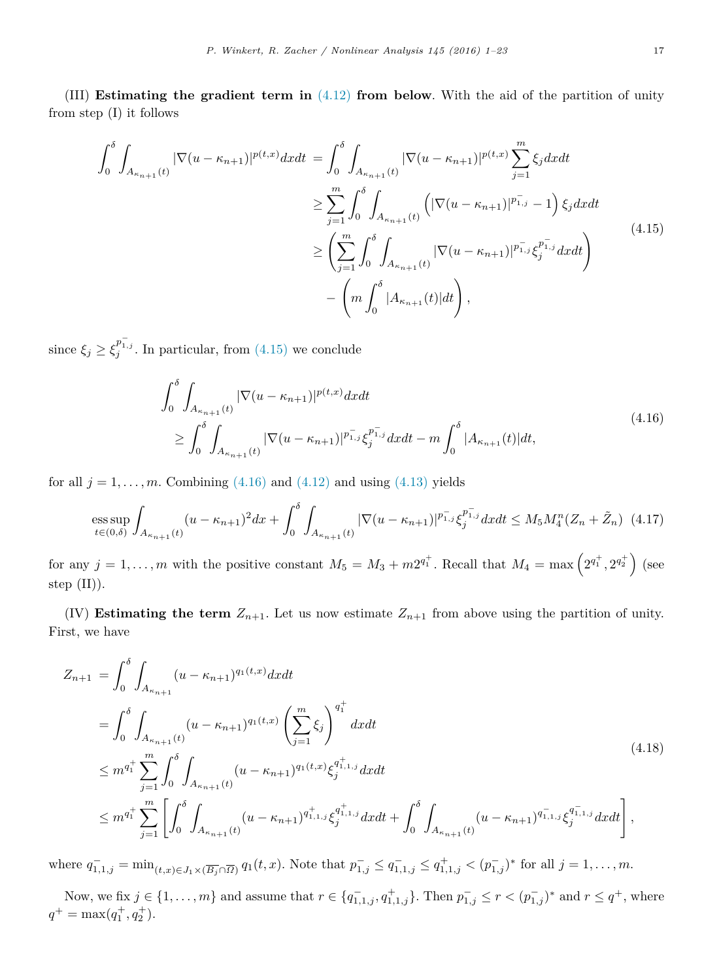(III) **Estimating the gradient term in** [\(4.12\)](#page-15-2) **from below**. With the aid of the partition of unity from step (I) it follows

$$
\int_{0}^{\delta} \int_{A_{\kappa_{n+1}}(t)} |\nabla(u - \kappa_{n+1})|^{p(t,x)} dx dt = \int_{0}^{\delta} \int_{A_{\kappa_{n+1}}(t)} |\nabla(u - \kappa_{n+1})|^{p(t,x)} \sum_{j=1}^{m} \xi_{j} dx dt
$$
  
\n
$$
\geq \sum_{j=1}^{m} \int_{0}^{\delta} \int_{A_{\kappa_{n+1}}(t)} \left( |\nabla(u - \kappa_{n+1})|^{p_{1,j}} - 1 \right) \xi_{j} dx dt
$$
  
\n
$$
\geq \left( \sum_{j=1}^{m} \int_{0}^{\delta} \int_{A_{\kappa_{n+1}}(t)} |\nabla(u - \kappa_{n+1})|^{p_{1,j}} \xi_{j}^{p_{1,j}} dx dt \right)
$$
  
\n
$$
- \left( m \int_{0}^{\delta} |A_{\kappa_{n+1}}(t)| dt \right), \tag{4.15}
$$

since  $\xi_j \ge \xi_j^{p_{1,j}^-}$ . In particular, from [\(4.15\)](#page-16-0) we conclude

<span id="page-16-3"></span><span id="page-16-1"></span><span id="page-16-0"></span>
$$
\int_{0}^{\delta} \int_{A_{\kappa_{n+1}}(t)} |\nabla(u - \kappa_{n+1})|^{p(t,x)} dx dt
$$
\n
$$
\geq \int_{0}^{\delta} \int_{A_{\kappa_{n+1}}(t)} |\nabla(u - \kappa_{n+1})|^{p_{1,j}^{-1}} \xi_{j}^{p_{1,j}^{-1}} dx dt - m \int_{0}^{\delta} |A_{\kappa_{n+1}}(t)| dt,
$$
\n(4.16)

for all  $j = 1, \ldots, m$ . Combining  $(4.16)$  and  $(4.12)$  and using  $(4.13)$  yields

<span id="page-16-2"></span>
$$
\underset{t\in(0,\delta)}{\text{ess sup}} \int_{A_{\kappa_{n+1}}(t)} (u - \kappa_{n+1})^2 dx + \int_0^{\delta} \int_{A_{\kappa_{n+1}}(t)} |\nabla (u - \kappa_{n+1})|^{p_{1,j}^-} \xi_j^{p_{1,j}^-} dx dt \le M_5 M_4^n (Z_n + \tilde{Z}_n) \tag{4.17}
$$

for any  $j = 1, \ldots, m$  with the positive constant  $M_5 = M_3 + m2^{q_1^+}$ . Recall that  $M_4 = \max\left(2^{q_1^+}, 2^{q_2^+}\right)$  (see step  $(II)$ ).

(IV) **Estimating the term**  $Z_{n+1}$ . Let us now estimate  $Z_{n+1}$  from above using the partition of unity. First, we have

$$
Z_{n+1} = \int_0^{\delta} \int_{A_{\kappa_{n+1}}} (u - \kappa_{n+1})^{q_1(t,x)} dx dt
$$
  
\n
$$
= \int_0^{\delta} \int_{A_{\kappa_{n+1}}(t)} (u - \kappa_{n+1})^{q_1(t,x)} \left(\sum_{j=1}^m \xi_j\right)^{q_1^+} dx dt
$$
  
\n
$$
\leq m^{q_1^+} \sum_{j=1}^m \int_0^{\delta} \int_{A_{\kappa_{n+1}}(t)} (u - \kappa_{n+1})^{q_1(t,x)} \xi_j^{q_{1,1,j}^+} dx dt
$$
  
\n
$$
\leq m^{q_1^+} \sum_{j=1}^m \left[ \int_0^{\delta} \int_{A_{\kappa_{n+1}}(t)} (u - \kappa_{n+1})^{q_{1,1,j}^+} \xi_j^{q_{1,1,j}^+} dx dt + \int_0^{\delta} \int_{A_{\kappa_{n+1}}(t)} (u - \kappa_{n+1})^{q_{1,1,j}^-} \xi_j^{q_{1,1,j}^-} dx dt \right],
$$
\n(4.18)

where  $q_{1,1,j}^- = \min_{(t,x)\in J_1\times(\overline{B_j}\cap\overline{\Omega})} q_1(t,x)$ . Note that  $p_{1,j}^- \leq q_{1,1,j}^- \leq q_{1,1,j}^+ < (p_{1,j}^-)^*$  for all  $j=1,\ldots,m$ .

Now, we fix  $j \in \{1, ..., m\}$  and assume that  $r \in \{q_{1,1,j}^-, q_{1,1,j}^+\}$ . Then  $p_{1,j}^- \le r < (p_{1,j}^-)^*$  and  $r \le q^+$ , where  $q^+ = \max(q_1^+, q_2^+).$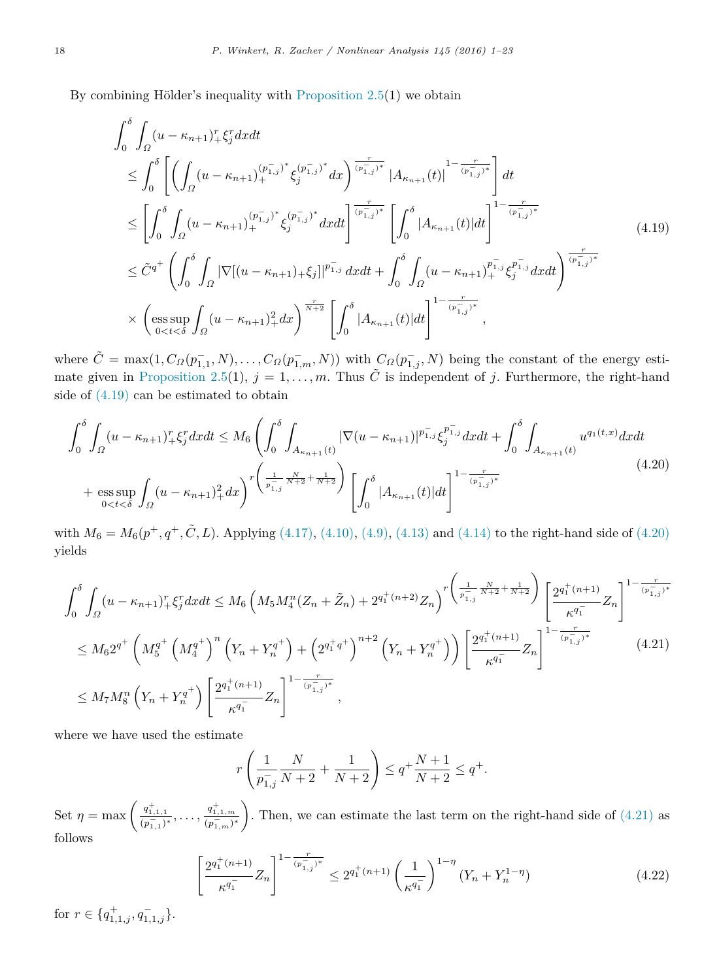By combining Hölder's inequality with Proposition  $2.5(1)$  we obtain

<span id="page-17-0"></span>
$$
\int_{0}^{\delta} \int_{\Omega} (u - \kappa_{n+1})_{+}^{r} \xi_{j}^{r} dx dt
$$
\n
$$
\leq \int_{0}^{\delta} \left[ \left( \int_{\Omega} (u - \kappa_{n+1})_{+}^{(p_{1,j}^{+})^{*}} \xi_{j}^{(p_{1,j}^{+})^{*}} dx \right)^{\frac{r}{(p_{1,j}^{+})^{*}}} \left| A_{\kappa_{n+1}}(t) \right|^{1 - \frac{r}{(p_{1,j}^{+})^{*}}} \right] dt
$$
\n
$$
\leq \left[ \int_{0}^{\delta} \int_{\Omega} (u - \kappa_{n+1})_{+}^{(p_{1,j}^{+})^{*}} \xi_{j}^{(p_{1,j}^{+})^{*}} dx dt \right]^{\frac{r}{(p_{1,j}^{+})^{*}}} \left[ \int_{0}^{\delta} |A_{\kappa_{n+1}}(t)| dt \right]^{1 - \frac{r}{(p_{1,j}^{+})^{*}}} \left[ \int_{0}^{\frac{r}{(p_{1,j}^{+})^{*}}} (u - \kappa_{n+1})_{+}^{(p_{1,j}^{+})^{*}} \xi_{j}^{(p_{1,j}^{+})^{*}} dx dt \right]^{\frac{r}{(p_{1,j}^{+})^{*}}} \left[ \int_{0}^{\delta} (u - \kappa_{n+1})_{+}^{p_{1,j}^{+}} \xi_{j}^{(p_{1,j}^{+})} dx dt \right]^{\frac{r}{(p_{1,j}^{+})^{*}}} \times \left( \underset{0 < t < \delta}{\text{ess sup}} \int_{\Omega} (u - \kappa_{n+1})_{+}^{2} dx \right)^{\frac{r}{N+2}} \left[ \int_{0}^{\delta} |A_{\kappa_{n+1}}(t)| dt \right]^{1 - \frac{r}{(p_{1,j}^{+})^{*}}},
$$
\n(4.19)

where  $\tilde{C} = \max(1, C_{\Omega}(p_{1,1}^-, N), \ldots, C_{\Omega}(p_{1,m}^-, N))$  with  $C_{\Omega}(p_{1,j}^-, N)$  being the constant of the energy esti-mate given in [Proposition 2.5\(](#page-7-0)1),  $j = 1, \ldots, m$ . Thus  $\tilde{C}$  is independent of *j*. Furthermore, the right-hand side of [\(4.19\)](#page-17-0) can be estimated to obtain

$$
\int_{0}^{\delta} \int_{\Omega} (u - \kappa_{n+1})_{+}^{r} \xi_{j}^{r} dx dt \leq M_{6} \left( \int_{0}^{\delta} \int_{A_{\kappa_{n+1}}(t)} |\nabla(u - \kappa_{n+1})|^{p_{1,j}} \xi_{j}^{p_{1,j}} dx dt + \int_{0}^{\delta} \int_{A_{\kappa_{n+1}}(t)} u^{q_{1}(t,x)} dx dt \right)
$$

$$
+ \operatorname{ess} \sup_{0 < t < \delta} \int_{\Omega} (u - \kappa_{n+1})_{+}^{2} dx \right)^{r} \left( \frac{1}{p_{1,j}^{2}} \frac{N}{N+2} + \frac{1}{N+2} \right) \left[ \int_{0}^{\delta} |A_{\kappa_{n+1}}(t)| dt \right]^{1 - \frac{r}{(p_{1,j}^{2})^{*}}} \tag{4.20}
$$

with  $M_6 = M_6(p^+, q^+, \tilde{C}, L)$ . Applying [\(4.17\),](#page-16-2) [\(4.10\),](#page-15-0) [\(4.9\),](#page-14-0) [\(4.13\)](#page-15-3) and [\(4.14\)](#page-15-4) to the right-hand side of [\(4.20\)](#page-17-1) yields

$$
\int_{0}^{\delta} \int_{\Omega} (u - \kappa_{n+1})_{+}^{r} \xi_{j}^{r} dx dt \leq M_{6} \left( M_{5} M_{4}^{n} (Z_{n} + \tilde{Z}_{n}) + 2^{q_{1}^{+}(n+2)} Z_{n} \right)^{r} \left( \frac{1}{p_{1,j}^{-} N_{+2}^{+} + N_{+2}^{+}} \right) \left[ \frac{2^{q_{1}^{+}(n+1)}}{\kappa^{q_{1}^{-}}} Z_{n} \right]^{1 - \frac{r}{(p_{1,j}^{-})^{*}}} \leq M_{6} 2^{q^{+}} \left( M_{5}^{q^{+}} \left( M_{4}^{q^{+}} \right)^{n} \left( Y_{n} + Y_{n}^{q^{+}} \right) + \left( 2^{q_{1}^{+} q^{+}} \right)^{n+2} \left( Y_{n} + Y_{n}^{q^{+}} \right) \right) \left[ \frac{2^{q_{1}^{+}(n+1)}}{\kappa^{q_{1}^{-}}} Z_{n} \right]^{1 - \frac{r}{(p_{1,j}^{-})^{*}}} \tag{4.21}
$$
\n
$$
\leq M_{7} M_{8}^{n} \left( Y_{n} + Y_{n}^{q^{+}} \right) \left[ \frac{2^{q_{1}^{+}(n+1)}}{\kappa^{q_{1}^{-}}} Z_{n} \right]^{1 - \frac{r}{(p_{1,j}^{-})^{*}}},
$$

where we have used the estimate

<span id="page-17-2"></span><span id="page-17-1"></span>
$$
r\left(\frac{1}{p_{1,j}^-}\frac{N}{N+2} + \frac{1}{N+2}\right) \le q^+ \frac{N+1}{N+2} \le q^+.
$$

Set  $\eta = \max\left(\frac{q_{1,1,1}^+}{(p_{1,1}^-)^*}, \ldots, \frac{q_{1,1,m}^+}{(p_{1,m}^-)^*}\right)$ ). Then, we can estimate the last term on the right-hand side of  $(4.21)$  as follows

<span id="page-17-3"></span>
$$
\left[\frac{2^{q_1^+(n+1)}}{\kappa^{q_1^-}}Z_n\right]^{1-\frac{r}{(p_{1,j}^-)^*}} \le 2^{q_1^+(n+1)}\left(\frac{1}{\kappa^{q_1^-}}\right)^{1-\eta}\left(Y_n + Y_n^{1-\eta}\right) \tag{4.22}
$$

for  $r \in \{q_{1,1,j}^+, q_{1,1,j}^-\}.$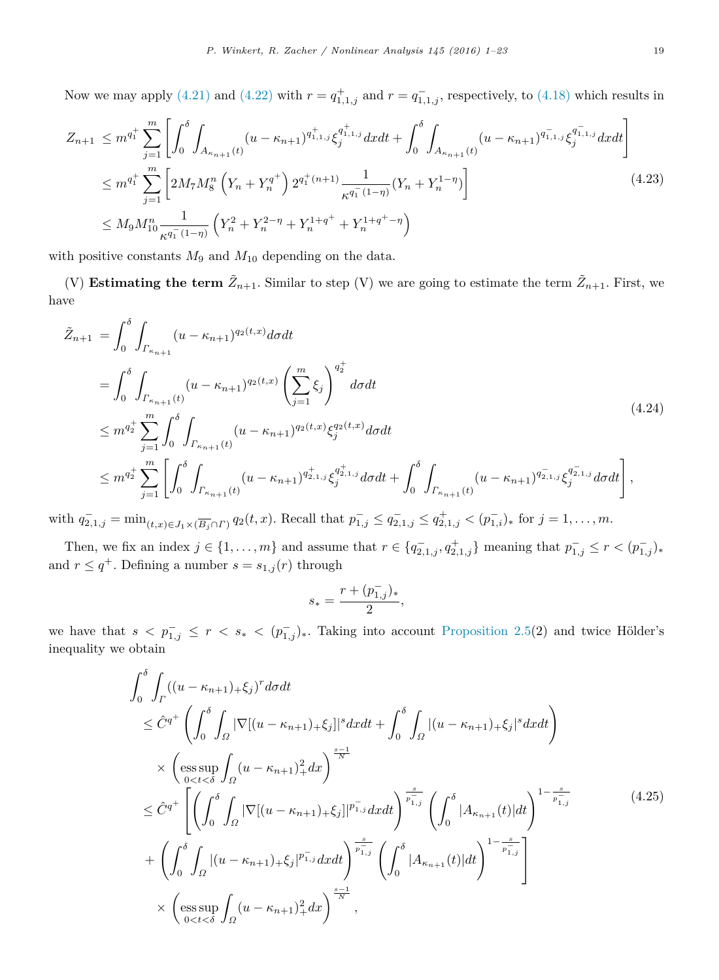Now we may apply [\(4.21\)](#page-17-2) and [\(4.22\)](#page-17-3) with  $r = q_{1,1,j}^+$  and  $r = q_{1,1,j}^-$ , respectively, to [\(4.18\)](#page-16-3) which results in

$$
Z_{n+1} \leq m^{q_1^+} \sum_{j=1}^m \left[ \int_0^\delta \int_{A_{\kappa_{n+1}}(t)} (u - \kappa_{n+1})^{q_{1,1,j}^+} \xi_j^{q_{1,1,j}^+} dx dt + \int_0^\delta \int_{A_{\kappa_{n+1}}(t)} (u - \kappa_{n+1})^{q_{1,1,j}^-} \xi_j^{q_{1,1,j}^-} dx dt \right]
$$
  
\n
$$
\leq m^{q_1^+} \sum_{j=1}^m \left[ 2M_7 M_8^n \left( Y_n + Y_n^{q^+} \right) 2^{q_1^+(n+1)} \frac{1}{\kappa^{q_1^-(1-\eta)}} (Y_n + Y_n^{1-\eta}) \right]
$$
  
\n
$$
\leq M_9 M_{10}^n \frac{1}{\kappa^{q_1^-(1-\eta)}} \left( Y_n^2 + Y_n^{2-\eta} + Y_n^{1+q^+} + Y_n^{1+q^+-\eta} \right)
$$
\n(4.23)

with positive constants  $M_9$  and  $M_{10}$  depending on the data.

(V) **Estimating the term**  $\tilde{Z}_{n+1}$ . Similar to step (V) we are going to estimate the term  $\tilde{Z}_{n+1}$ . First, we have

$$
\tilde{Z}_{n+1} = \int_0^{\delta} \int_{\Gamma_{\kappa_{n+1}}} (u - \kappa_{n+1})^{q_2(t,x)} d\sigma dt \n= \int_0^{\delta} \int_{\Gamma_{\kappa_{n+1}}(t)} (u - \kappa_{n+1})^{q_2(t,x)} \left( \sum_{j=1}^m \xi_j \right)^{q_2^+} d\sigma dt \n\leq m^{q_2^+} \sum_{j=1}^m \int_0^{\delta} \int_{\Gamma_{\kappa_{n+1}}(t)} (u - \kappa_{n+1})^{q_2(t,x)} \xi_j^{q_2(t,x)} d\sigma dt \n\leq m^{q_2^+} \sum_{j=1}^m \left[ \int_0^{\delta} \int_{\Gamma_{\kappa_{n+1}}(t)} (u - \kappa_{n+1})^{q_{2,1,j}^+} \xi_j^{q_{2,1,j}^+} d\sigma dt + \int_0^{\delta} \int_{\Gamma_{\kappa_{n+1}}(t)} (u - \kappa_{n+1})^{q_{2,1,j}^-} \xi_j^{q_{2,1,j}^-} d\sigma dt \right],
$$
\n(4.24)

with  $q_{2,1,j}^- = \min_{(t,x)\in J_1\times (\overline{B_j}\cap \Gamma)} q_2(t,x)$ . Recall that  $p_{1,j}^- \leq q_{2,1,j}^- \leq q_{2,1,j}^+ < (p_{1,i}^-)_*$  for  $j=1,\ldots,m$ .

Then, we fix an index  $j \in \{1, ..., m\}$  and assume that  $r \in \{q_{2,1,j}^-, q_{2,1,j}^+\}$  meaning that  $p_{1,j}^- \le r < (p_{1,j}^-)_*$ and  $r \leq q^+$ . Defining a number  $s = s_{1,j}(r)$  through

<span id="page-18-2"></span><span id="page-18-1"></span><span id="page-18-0"></span>
$$
s_*=\frac{r+(p_{1,j}^-)_*}{2},
$$

we have that  $s < p_{1,j}^- \leq r < s_* < (p_{1,j}^-)_*.$  Taking into account [Proposition 2.5\(](#page-7-0)2) and twice Hölder's inequality we obtain

$$
\int_{0}^{\delta} \int_{\Gamma} ((u - \kappa_{n+1})_{+} \xi_{j})^{r} d\sigma dt
$$
\n
$$
\leq \hat{C}^{q^{+}} \left( \int_{0}^{\delta} \int_{\Omega} |\nabla[(u - \kappa_{n+1})_{+} \xi_{j}]|^{s} d\sigma dt + \int_{0}^{\delta} \int_{\Omega} |(u - \kappa_{n+1})_{+} \xi_{j}|^{s} d\sigma dt \right)
$$
\n
$$
\times \left( \underset{0 < t < \delta}{\operatorname{ess}} \int_{\Omega} (u - \kappa_{n+1})_{+}^{2} d\sigma \right)^{\frac{s-1}{N}}
$$
\n
$$
\leq \hat{C}^{q^{+}} \left[ \left( \int_{0}^{\delta} \int_{\Omega} |\nabla[(u - \kappa_{n+1})_{+} \xi_{j}]|^{p_{1,j}^{-}} d\sigma dt \right)^{\frac{s}{p_{1,j}^{-}}} \left( \int_{0}^{\delta} |A_{\kappa_{n+1}}(t)| dt \right)^{1 - \frac{s}{p_{1,j}^{-}}} \right] \left( 4.25 \right)
$$
\n
$$
+ \left( \int_{0}^{\delta} \int_{\Omega} |(u - \kappa_{n+1})_{+} \xi_{j}|^{p_{1,j}^{-}} d\sigma dt \right)^{\frac{s}{p_{1,j}^{-}}} \left( \int_{0}^{\delta} |A_{\kappa_{n+1}}(t)| dt \right)^{1 - \frac{s}{p_{1,j}^{-}}} \right)
$$
\n
$$
\times \left( \underset{0 < t < \delta}{\operatorname{ess}} \sup_{0} \int_{\Omega} (u - \kappa_{n+1})_{+}^{2} d\sigma \right)^{\frac{s-1}{N}},
$$
\n(4.25)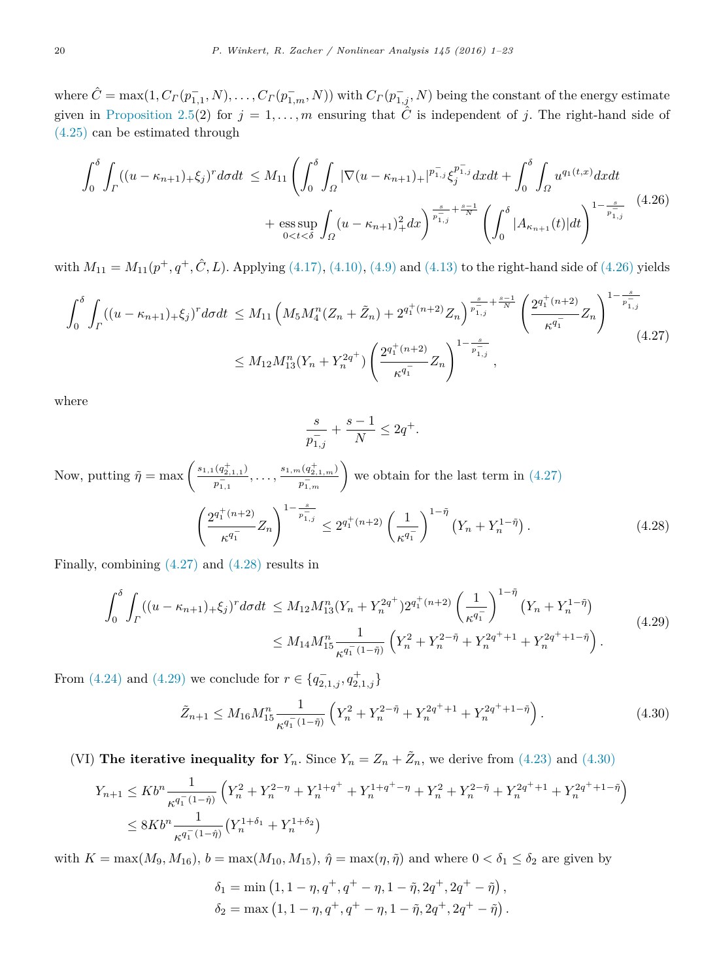$\hat{C} = \max(1, C_{\Gamma}(p_{1,1}^-, N), \ldots, C_{\Gamma}(p_{1,m}^-, N))$  with  $C_{\Gamma}(p_{1,j}^-, N)$  being the constant of the energy estimate given in [Proposition 2.5\(](#page-7-0)2) for  $j = 1, \ldots, m$  ensuring that  $\hat{C}$  is independent of *j*. The right-hand side of [\(4.25\)](#page-18-0) can be estimated through

$$
\int_{0}^{\delta} \int_{\Gamma} ((u - \kappa_{n+1})_{+} \xi_{j})^{r} d\sigma dt \leq M_{11} \left( \int_{0}^{\delta} \int_{\Omega} |\nabla (u - \kappa_{n+1})_{+}|^{p_{1,j}^{-}} \xi_{j}^{p_{1,j}^{-}} d\mathbf{x} dt + \int_{0}^{\delta} \int_{\Omega} u^{q_{1}(t,x)} d\mathbf{x} dt + \int_{\Omega} u^{q_{2}(t,x)} d\mathbf{x} dt + \int_{\Omega} u^{q_{1}(t,x)} d\mathbf{x} dt + \int_{\Omega} u^{q_{2}(t,x)} d\mathbf{x} dt + \int_{\Omega} u^{q_{2}(t,x)} d\mathbf{x} dt + \int_{\Omega} u^{q_{1}(t,x)} d\mathbf{x} dt + \int_{\Omega} u^{q_{2}(t,x)} d\mathbf{x} dt + \int_{\Omega} u^{q_{2}(t,x)} d\mathbf{x} dt + \int_{\Omega} u^{q_{1}(t,x)} d\mathbf{x} dt + \int_{\Omega} u^{q_{2}(t,x)} d\mathbf{x} dt + \int_{\Omega} u^{q_{2}(t,x)} d\mathbf{x} dt + \int_{\Omega} u^{q_{2}(t,x)} d\mathbf{x} dt + \int_{\Omega} u^{q_{2}(t,x)} d\mathbf{x} dt + \int_{\Omega} u^{q_{2}(t,x)} d\mathbf{x} dt + \int_{\Omega} u^{q_{2}(t,x)} d\mathbf{x} dt + \int_{\Omega} u^{q_{2}(t,x)} d\mathbf{x} dt + \int_{\Omega} u^{q_{2}(t,x)} d\mathbf{x} dt + \int_{\Omega} u^{q_{2}(t,x)} d\mathbf{x} dt + \int_{\Omega} u^{q_{2}(t,x)} d\mathbf{x} dt + \int_{\Omega} u^{q_{2}(t,x)} d\mathbf{x} dt + \int_{\Omega} u^{q_{2}(t,x)} d\mathbf{x} dt + \int_{\Omega} u^{q_{2}(t,x)} d\mathbf{x} dt + \int_{\Omega} u^{q_{2}(t,x)} d\mathbf{x} dt + \int_{\Omega} u^{q_{2}(t,x)} d\mathbf{x} dt + \int_{\Omega} u^{q_{2}(t,x)} d\mathbf{x} dt + \int_{\Omega} u^{q_{2}(t,x)} d\mathbf{x} dt + \int_{\Omega} u^{q_{2}(t,x)} d\mathbf{x} dt + \int_{\Omega} u^{q_{2}(t,x)} d
$$

with  $M_{11} = M_{11}(p^+, q^+, \hat{C}, L)$ . Applying [\(4.17\),](#page-16-2) [\(4.10\),](#page-15-0) [\(4.9\)](#page-14-0) and [\(4.13\)](#page-15-3) to the right-hand side of [\(4.26\)](#page-19-0) yields

$$
\int_{0}^{\delta} \int_{\Gamma} ((u - \kappa_{n+1})_{+} \xi_{j})^{r} d\sigma dt \leq M_{11} \left( M_{5} M_{4}^{n} (Z_{n} + \tilde{Z}_{n}) + 2^{q_{1}^{+}(n+2)} Z_{n} \right)^{\frac{s}{p_{1,j}^{-}} + \frac{s-1}{N}} \left( \frac{2^{q_{1}^{+}(n+2)}}{\kappa^{q_{1}^{-}}} Z_{n} \right)^{1 - \frac{s}{p_{1,j}^{-}}} \leq M_{12} M_{13}^{n} (Y_{n} + Y_{n}^{2q^{+}}) \left( \frac{2^{q_{1}^{+}(n+2)}}{\kappa^{q_{1}^{-}}} Z_{n} \right)^{1 - \frac{s}{p_{1,j}^{-}}} , \tag{4.27}
$$

where

<span id="page-19-3"></span><span id="page-19-1"></span><span id="page-19-0"></span>
$$
\frac{s}{p_{1,j}^-}+\frac{s-1}{N}\leq 2q^+.
$$

Now, putting  $\tilde{\eta} = \max \left( \frac{s_{1,1}(q_{2,1,1}^+) }{q_{2,1,1}^-} \right)$  $\frac{(q_{2,1,1}^+)}{p_{1,1}^-}$ , ...,  $\frac{s_{1,m}(q_{2,1,m}^+)}{p_{1,m}^-}$  $\left(\frac{p_{1,n}^+(q_{2,1,m}^+)}{p_{1,m}^-}\right)$  we obtain for the last term in [\(4.27\)](#page-19-1)  $\int 2^{q_1^+(n+2)}$  $\frac{1}{\kappa^{q-1}}Z_n$  $\int_0^{1-\frac{s}{p_{1,j}^-}} \leq 2^{q_1^+(n+2)} \left( \frac{1}{\cdot} \right)$  $\kappa^{q_1^-}$  $\int$ <sup>1-*η*</sup></sup> $(Y_n + Y_n^{1-\tilde{\eta}})$  $(4.28)$ 

Finally, combining [\(4.27\)](#page-19-1) and [\(4.28\)](#page-19-2) results in

<span id="page-19-2"></span>
$$
\int_0^{\delta} \int_{\Gamma} ((u - \kappa_{n+1})_+ \xi_j)^r d\sigma dt \leq M_{12} M_{13}^n (Y_n + Y_n^{2q^+}) 2^{q_1^+(n+2)} \left(\frac{1}{\kappa^{q_1^-}}\right)^{1-\tilde{\eta}} \left(Y_n + Y_n^{1-\tilde{\eta}}\right)
$$
\n
$$
\leq M_{14} M_{15}^n \frac{1}{\kappa^{q_1^-(1-\tilde{\eta})}} \left(Y_n^2 + Y_n^{2-\tilde{\eta}} + Y_n^{2q^+ + 1} + Y_n^{2q^+ + 1-\tilde{\eta}}\right). \tag{4.29}
$$

From [\(4.24\)](#page-18-1) and [\(4.29\)](#page-19-3) we conclude for  $r \in \{q_{2,1,j}^-, q_{2,1,j}^+\}$ 

<span id="page-19-4"></span>
$$
\tilde{Z}_{n+1} \le M_{16} M_{15}^n \frac{1}{\kappa^{q_1^-(1-\tilde{\eta})}} \left( Y_n^2 + Y_n^{2-\tilde{\eta}} + Y_n^{2q^+ + 1} + Y_n^{2q^+ + 1-\tilde{\eta}} \right). \tag{4.30}
$$

(VI) **The iterative inequality for**  $Y_n$ . Since  $Y_n = Z_n + \tilde{Z}_n$ , we derive from [\(4.23\)](#page-18-2) and [\(4.30\)](#page-19-4)

$$
Y_{n+1} \le Kb^{n} \frac{1}{\kappa^{q_{1}^{-}(1-\hat{\eta})}} \left(Y_{n}^{2} + Y_{n}^{2-\eta} + Y_{n}^{1+q^{+}} + Y_{n}^{1+q^{+}-\eta} + Y_{n}^{2} + Y_{n}^{2-\tilde{\eta}} + Y_{n}^{2q^{+}+1} + Y_{n}^{2q^{+}+1-\tilde{\eta}}\right)
$$
  

$$
\le 8Kb^{n} \frac{1}{\kappa^{q_{1}^{-}(1-\hat{\eta})}} \left(Y_{n}^{1+\delta_{1}} + Y_{n}^{1+\delta_{2}}\right)
$$

with  $K = \max(M_9, M_{16})$ ,  $b = \max(M_{10}, M_{15})$ ,  $\hat{\eta} = \max(\eta, \tilde{\eta})$  and where  $0 < \delta_1 \leq \delta_2$  are given by

$$
\begin{split} \delta_1 &= \min \left(1, 1-\eta, q^+, q^+ - \eta, 1-\tilde{\eta}, 2q^+, 2q^+ - \tilde{\eta} \right), \\ \delta_2 &= \max \left(1, 1-\eta, q^+, q^+ - \eta, 1-\tilde{\eta}, 2q^+, 2q^+ - \tilde{\eta} \right). \end{split}
$$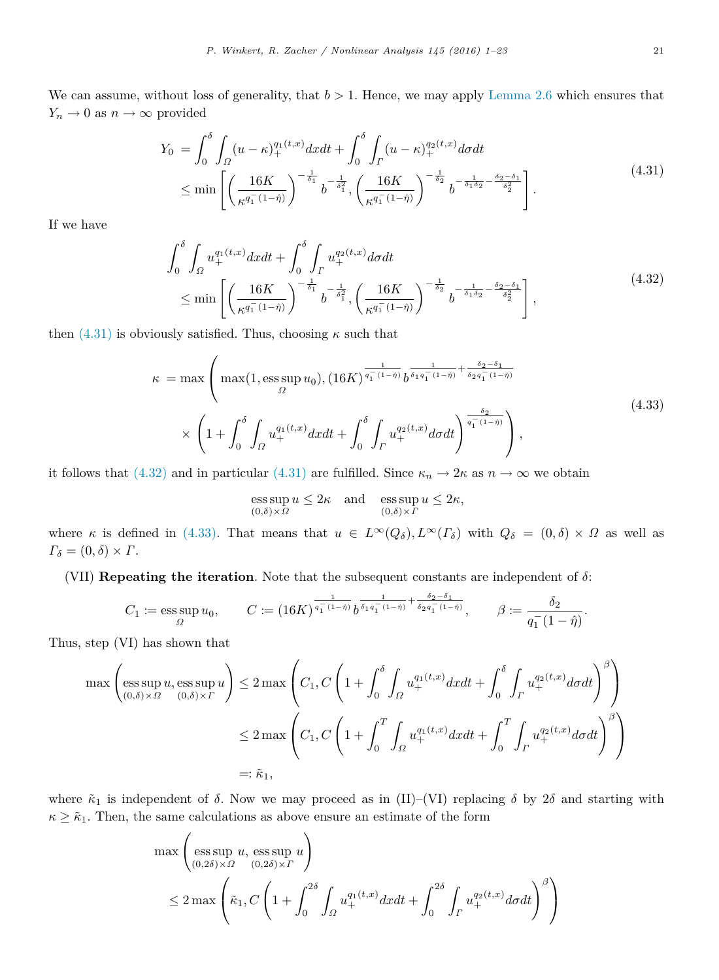We can assume, without loss of generality, that *b >* 1. Hence, we may apply [Lemma 2.6](#page-8-1) which ensures that  $Y_n \to 0$  as  $n \to \infty$  provided

<span id="page-20-0"></span>
$$
Y_0 = \int_0^{\delta} \int_{\Omega} (u - \kappa)_+^{q_1(t,x)} dx dt + \int_0^{\delta} \int_{\Gamma} (u - \kappa)_+^{q_2(t,x)} d\sigma dt
$$
  

$$
\leq \min \left[ \left( \frac{16K}{\kappa^{q_1^-(1-\hat{\eta})}} \right)^{-\frac{1}{\delta_1}} b^{-\frac{1}{\delta_1^2}}, \left( \frac{16K}{\kappa^{q_1^-(1-\hat{\eta})}} \right)^{-\frac{1}{\delta_2}} b^{-\frac{1}{\delta_1 \delta_2} - \frac{\delta_2 - \delta_1}{\delta_2^2}} \right].
$$
 (4.31)

If we have

$$
\int_{0}^{\delta} \int_{\Omega} u_{+}^{q_{1}(t,x)} dxdt + \int_{0}^{\delta} \int_{\Gamma} u_{+}^{q_{2}(t,x)} d\sigma dt
$$
\n
$$
\leq \min \left[ \left( \frac{16K}{\kappa^{q_{1}^{-}}(1-\hat{\eta})} \right)^{-\frac{1}{\delta_{1}}} b^{-\frac{1}{\delta_{1}^{2}}}, \left( \frac{16K}{\kappa^{q_{1}^{-}}(1-\hat{\eta})} \right)^{-\frac{1}{\delta_{2}}} b^{-\frac{1}{\delta_{1}\delta_{2}} - \frac{\delta_{2} - \delta_{1}}{\delta_{2}^{2}}} \right],
$$
\n(4.32)

then  $(4.31)$  is obviously satisfied. Thus, choosing  $\kappa$  such that

$$
\kappa = \max \left( \max(1, \text{ess}\sup_{\Omega} u_0), (16K)^{\frac{1}{q_1^-(1-\hat{\eta})}} b^{\frac{1}{\delta_1 q_1^-(1-\hat{\eta})} + \frac{\delta_2 - \delta_1}{\delta_2 q_1^-(1-\hat{\eta})}} \times \left( 1 + \int_0^{\delta} \int_{\Omega} u_+^{q_1(t,x)} dx dt + \int_0^{\delta} \int_{\Gamma} u_+^{q_2(t,x)} d\sigma dt \right)^{\frac{\delta_2}{q_1^-(1-\hat{\eta})}} \right),
$$
\n(4.33)

it follows that [\(4.32\)](#page-20-1) and in particular [\(4.31\)](#page-20-0) are fulfilled. Since  $\kappa_n \to 2\kappa$  as  $n \to \infty$  we obtain

<span id="page-20-2"></span><span id="page-20-1"></span>
$$
\operatorname{ess} \sup_{(0,\delta)\times\Omega} u \le 2\kappa \quad \text{and} \quad \operatorname{ess} \sup_{(0,\delta)\times\Gamma} u \le 2\kappa,
$$

where *κ* is defined in [\(4.33\).](#page-20-2) That means that  $u \in L^{\infty}(Q_{\delta}), L^{\infty}(T_{\delta})$  with  $Q_{\delta} = (0, \delta) \times \Omega$  as well as  $\Gamma_{\delta} = (0,\delta) \times \Gamma.$ 

(VII) **Repeating the iteration**. Note that the subsequent constants are independent of *δ*:

$$
C_1 := \operatorname*{ess\,sup}_{\Omega} u_0, \qquad C := (16K)^{\frac{1}{q_1^-(1-\tilde{\eta})}} b^{\frac{1}{\delta_1 q_1^-(1-\tilde{\eta})} + \frac{\delta_2 - \delta_1}{\delta_2 q_1^-(1-\tilde{\eta})}}, \qquad \beta := \frac{\delta_2}{q_1^-(1-\tilde{\eta})}.
$$

Thus, step (VI) has shown that

$$
\max\left(\operatorname*{ess\,sup}_{(0,\delta)\times\Omega} u, \operatorname*{ess\,sup}_{(0,\delta)\times\Gamma} u\right) \le 2 \max\left(C_1, C\left(1 + \int_0^\delta \int_\Omega u_+^{q_1(t,x)} dxdt + \int_0^\delta \int_\Gamma u_+^{q_2(t,x)} d\sigma dt\right)^\beta\right)
$$
  

$$
\le 2 \max\left(C_1, C\left(1 + \int_0^T \int_\Omega u_+^{q_1(t,x)} dxdt + \int_0^T \int_\Gamma u_+^{q_2(t,x)} d\sigma dt\right)^\beta\right)
$$
  

$$
=:\tilde{\kappa}_1,
$$

where  $\tilde{\kappa}_1$  is independent of  $\delta$ . Now we may proceed as in (II)–(VI) replacing  $\delta$  by  $2\delta$  and starting with  $\kappa \geq \tilde{\kappa}_1$ . Then, the same calculations as above ensure an estimate of the form

$$
\max\left(\underset{(0,2\delta)\times\Omega}{\operatorname{ess\,sup}} u,\underset{(0,2\delta)\times\Gamma}{\operatorname{ess\,sup}} u\right)
$$
  

$$
\leq 2\max\left(\tilde{\kappa}_1,C\left(1+\int_0^{2\delta}\int_{\Omega}u_+^{q_1(t,x)}dxdt+\int_0^{2\delta}\int_{\Gamma}u_+^{q_2(t,x)}d\sigma dt\right)^{\beta}\right)
$$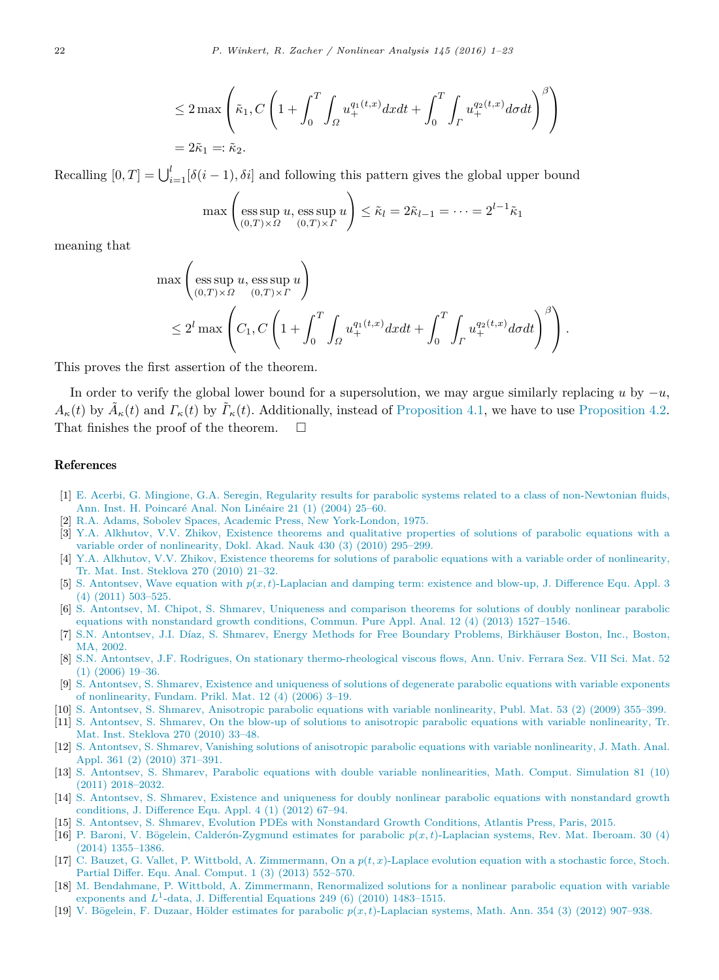$$
\leq 2 \max \left( \tilde{\kappa}_1, C \left( 1 + \int_0^T \int_{\Omega} u_+^{q_1(t,x)} dx dt + \int_0^T \int_{\Gamma} u_+^{q_2(t,x)} d\sigma dt \right)^{\beta} \right)
$$
  
=  $2\tilde{\kappa}_1 =: \tilde{\kappa}_2.$ 

Recalling  $[0, T] = \bigcup_{i=1}^{l} [\delta(i-1), \delta i]$  and following this pattern gives the global upper bound

$$
\max\left(\operatorname*{ess\,sup}_{(0,T)\times\Omega} u, \operatorname*{ess\,sup}_{(0,T)\times\Gamma} u\right) \leq \tilde{\kappa}_l = 2\tilde{\kappa}_{l-1} = \cdots = 2^{l-1}\tilde{\kappa}_1
$$

meaning that

$$
\max\left(\operatorname*{ess\,sup}_{(0,T)\times\Omega} u, \operatorname*{ess\,sup}_{(0,T)\times\Gamma} u\right) \n\leq 2^l \max\left(C_1, C\left(1+\int_0^T\int_{\Omega} u_+^{q_1(t,x)} dxdt + \int_0^T\int_{\Gamma} u_+^{q_2(t,x)} d\sigma dt\right)^{\beta}\right).
$$

This proves the first assertion of the theorem.

In order to verify the global lower bound for a supersolution, we may argue similarly replacing *u* by  $-u$ ,  $A_{\kappa}(t)$  by  $\tilde{A}_{\kappa}(t)$  and  $\Gamma_{\kappa}(t)$  by  $\tilde{\Gamma}_{\kappa}(t)$ . Additionally, instead of [Proposition 4.1,](#page-10-2) we have to use [Proposition 4.2.](#page-13-1) That finishes the proof of the theorem.  $\Box$ 

#### References

- <span id="page-21-0"></span>[1] E. [Acerbi, G. Mingione, G.A. Seregin, Regularity results for parabolic systems related to a class of non-Newtonian fluids,](http://refhub.elsevier.com/S0362-546X(16)30146-8/sbref1) Ann. Inst. H. Poincaré Anal. Non Linéaire 21 (1) (2004) 25–60.
- <span id="page-21-18"></span>[2] R.[A. Adams, Sobolev Spaces, Academic Press, New York-London, 1975.](http://refhub.elsevier.com/S0362-546X(16)30146-8/sbref2)
- <span id="page-21-6"></span>[3] Y.[A. Alkhutov, V.V. Zhikov, Existence theorems and qualitative properties of solutions of parabolic equations with a](http://refhub.elsevier.com/S0362-546X(16)30146-8/sbref3) variable order of nonlinearity, Dokl. Akad. Nauk 430 (3) (2010) 295–299.
- <span id="page-21-7"></span>[4] Y.[A. Alkhutov, V.V. Zhikov, Existence theorems for solutions of parabolic equations with a variable order of nonlinearity,](http://refhub.elsevier.com/S0362-546X(16)30146-8/sbref4) Tr. Mat. Inst. Steklova 270 (2010) 21–32.
- <span id="page-21-8"></span>[5] S. Antontsev, Wave equation with *p*(*x, t*[\)-Laplacian and damping term: existence and blow-up, J. Difference Equ. Appl. 3](http://refhub.elsevier.com/S0362-546X(16)30146-8/sbref5) (4) (2011) 503–525.
- <span id="page-21-9"></span>[6] S. [Antontsev, M. Chipot, S. Shmarev, Uniqueness and comparison theorems for solutions of doubly nonlinear parabolic](http://refhub.elsevier.com/S0362-546X(16)30146-8/sbref6) equations with nonstandard growth conditions, Commun. Pure Appl. Anal. 12 (4) (2013) 1527–1546.
- <span id="page-21-1"></span>[7] S.N. Antontsev, J.I. Díaz, S. Shmarev, Energy Methods for Free Boundary Problems, Birkhäuser Boston, Inc., Boston, MA, 2002.
- <span id="page-21-2"></span>[8] S.[N. Antontsev, J.F. Rodrigues, On stationary thermo-rheological viscous flows, Ann. Univ. Ferrara Sez. VII Sci. Mat. 52](http://refhub.elsevier.com/S0362-546X(16)30146-8/sbref8) (1) (2006) 19–36.
- <span id="page-21-10"></span>[9] S. [Antontsev, S. Shmarev, Existence and uniqueness of solutions of degenerate parabolic equations with variable exponents](http://refhub.elsevier.com/S0362-546X(16)30146-8/sbref9) of nonlinearity, Fundam. Prikl. Mat. 12 (4) (2006) 3–19.
- <span id="page-21-5"></span>[10] S. [Antontsev, S. Shmarev, Anisotropic parabolic equations with variable nonlinearity, Publ. Mat. 53 \(2\) \(2009\) 355–399.](http://refhub.elsevier.com/S0362-546X(16)30146-8/sbref10)
- <span id="page-21-16"></span>[11] S. [Antontsev, S. Shmarev, On the blow-up of solutions to anisotropic parabolic equations with variable nonlinearity, Tr.](http://refhub.elsevier.com/S0362-546X(16)30146-8/sbref11) Mat. Inst. Steklova 270 (2010) 33–48.
- <span id="page-21-13"></span>[12] S. [Antontsev, S. Shmarev, Vanishing solutions of anisotropic parabolic equations with variable nonlinearity, J. Math. Anal.](http://refhub.elsevier.com/S0362-546X(16)30146-8/sbref12) Appl. 361 (2) (2010) 371–391.
- <span id="page-21-12"></span>[13] S. [Antontsev, S. Shmarev, Parabolic equations with double variable nonlinearities, Math. Comput. Simulation 81 \(10\)](http://refhub.elsevier.com/S0362-546X(16)30146-8/sbref13) (2011) 2018–2032.
- <span id="page-21-11"></span>[14] S. [Antontsev, S. Shmarev, Existence and uniqueness for doubly nonlinear parabolic equations with nonstandard growth](http://refhub.elsevier.com/S0362-546X(16)30146-8/sbref14) conditions, J. Difference Equ. Appl. 4 (1) (2012) 67–94.
- <span id="page-21-15"></span>[15] S. [Antontsev, S. Shmarev, Evolution PDEs with Nonstandard Growth Conditions, Atlantis Press, Paris, 2015.](http://refhub.elsevier.com/S0362-546X(16)30146-8/sbref15)
- <span id="page-21-4"></span>[16] P. Baroni, V. Bögelein, Calderón-Zygmund estimates for parabolic  $p(x, t)$ -Laplacian systems, Rev. Mat. Iberoam. 30 (4) (2014) 1355–1386.
- <span id="page-21-14"></span>[17] C. Bauzet, G. Vallet, P. Wittbold, A. Zimmermann, On a *p*(*t, x*[\)-Laplace evolution equation with a stochastic force, Stoch.](http://refhub.elsevier.com/S0362-546X(16)30146-8/sbref17) Partial Differ. Equ. Anal. Comput. 1 (3) (2013) 552–570.
- <span id="page-21-17"></span>[18] M. [Bendahmane, P. Wittbold, A. Zimmermann, Renormalized solutions for a nonlinear parabolic equation with variable](http://refhub.elsevier.com/S0362-546X(16)30146-8/sbref18) exponents and  $L^1$ -data, J. Differential Equations 249 (6) (2010) 1483-1515.
- <span id="page-21-3"></span>[19] V. B¨ogelein, F. Duzaar, H¨older estimates for parabolic *p*(*x, t*[\)-Laplacian systems, Math. Ann. 354 \(3\) \(2012\) 907–938.](http://refhub.elsevier.com/S0362-546X(16)30146-8/sbref19)